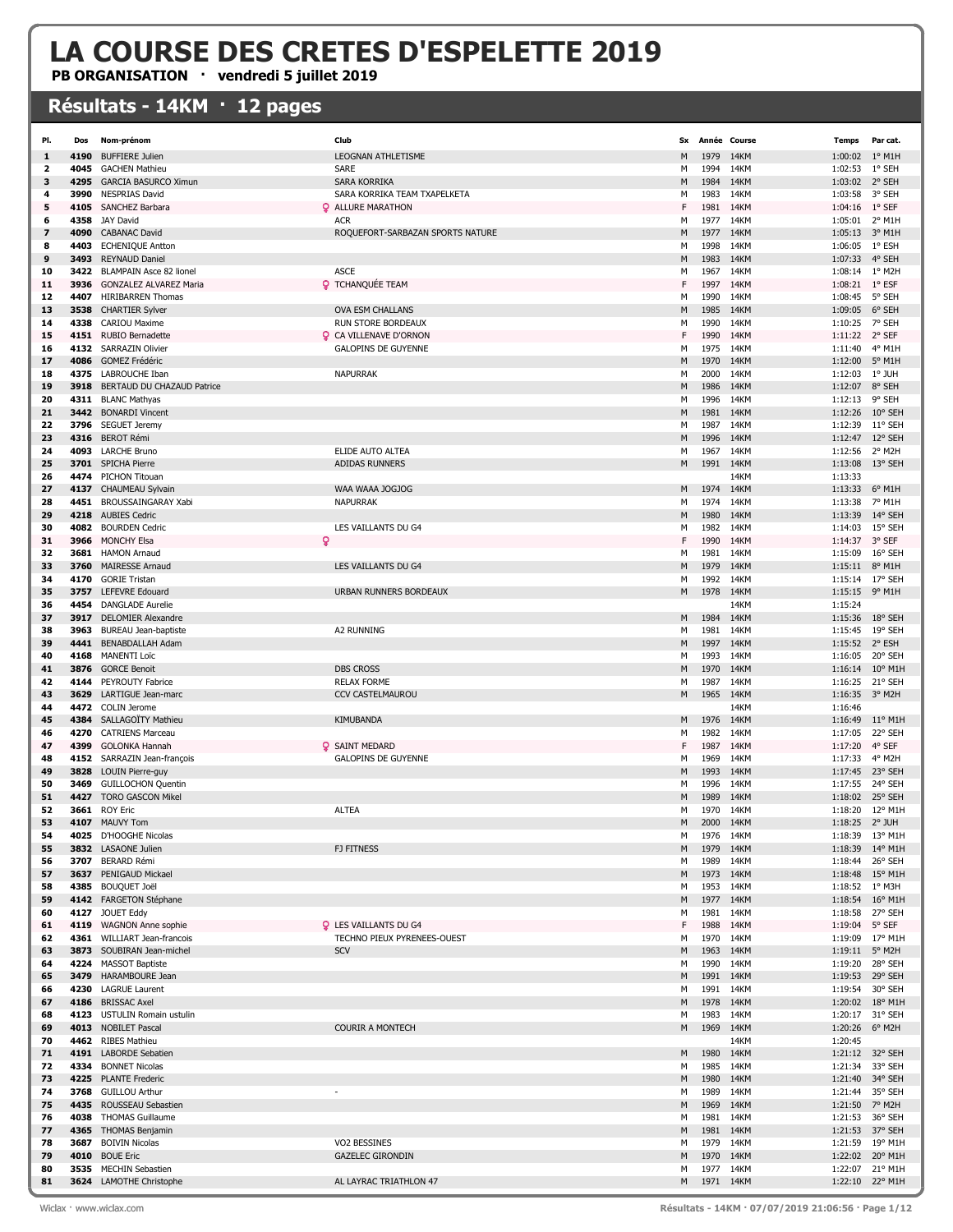## LA COURSE DES CRETES D'ESPELETTE 2019

PB ORGANISATION · vendredi 5 juillet 2019

## Résultats - 14KM · 12 pages

| PI.      | Dos          | Nom-prénom                                  | Club                             | <b>Sx</b> | Année Course |              | <b>Temps</b>   | Par cat.                   |
|----------|--------------|---------------------------------------------|----------------------------------|-----------|--------------|--------------|----------------|----------------------------|
| 1        | 4190         | <b>BUFFIERE Julien</b>                      | <b>LEOGNAN ATHLETISME</b>        | M         | 1979         | 14KM         | 1:00:02        | $1^{\circ}$ M1H            |
| 2        | 4045         | <b>GACHEN Mathieu</b>                       | <b>SARE</b>                      | м         | 1994         | 14KM         | 1:02:53        | 1° SEH                     |
| з        | 4295         | <b>GARCIA BASURCO Ximun</b>                 | SARA KORRIKA                     | М         | 1984         | 14KM         | 1:03:02 2° SEH |                            |
| 4        | 3990         | <b>NESPRIAS David</b>                       | SARA KORRIKA TEAM TXAPELKETA     | м         | 1983         | 14KM         | 1:03:58        | 3° SEH                     |
| 5        | 4105         | SANCHEZ Barbara                             | <b>Q</b> ALLURE MARATHON         | F         | 1981         | 14KM         | 1:04:16 1° SEF |                            |
| 6        | 4358         | JAY David                                   | <b>ACR</b>                       | м         | 1977         | 14KM         | 1:05:01        | 2° M1H                     |
| 7        | 4090         | <b>CABANAC David</b>                        | ROQUEFORT-SARBAZAN SPORTS NATURE | М         | 1977         | 14KM         | 1:05:13 3° M1H |                            |
| 8        | 4403         | <b>ECHENIQUE Antton</b>                     |                                  | М         | 1998         | 14KM         | 1:06:05 1° ESH |                            |
| 9        | 3493         | <b>REYNAUD Daniel</b>                       |                                  | M         | 1983         | 14KM         | 1:07:33        | 4° SEH                     |
| 10       | 3422         | <b>BLAMPAIN Asce 82 lionel</b>              | <b>ASCE</b>                      | м         | 1967         | 14KM         | 1:08:14 1° M2H |                            |
| 11       | 3936         | <b>GONZALEZ ALVAREZ Maria</b>               | <b>Q</b> TCHANQUÉE TEAM          | F         | 1997         | 14KM         | 1:08:21 1° ESF |                            |
| 12       | 4407         | <b>HIRIBARREN Thomas</b>                    |                                  | м         | 1990         | 14KM         | 1:08:45        | 5° SEH                     |
| 13       | 3538         | <b>CHARTIER Sylver</b>                      | <b>OVA ESM CHALLANS</b>          | м         | 1985         | 14KM         | 1:09:05        | 6° SEH                     |
| 14       | 4338         | <b>CARIOU Maxime</b>                        | RUN STORE BORDEAUX               | м         | 1990         | 14KM         | 1:10:25        | 7° SEH                     |
| 15       |              | 4151 RUBIO Bernadette                       | <b>Q</b> CA VILLENAVE D'ORNON    | F         | 1990         | 14KM         | 1:11:22 2° SEF |                            |
| 16       |              | 4132 SARRAZIN Olivier                       | <b>GALOPINS DE GUYENNE</b>       | М         | 1975         | 14KM         | 1:11:40        | 4° M1H                     |
| 17       | 4086         | <b>GOMEZ Frédéric</b>                       |                                  | м         | 1970         | 14KM         | 1:12:00        | 5° M1H                     |
| 18       | 4375         | LABROUCHE Iban                              | <b>NAPURRAK</b>                  | м         | 2000         | 14KM         | 1:12:03        | 1° JUH                     |
| 19       |              | 3918 BERTAUD DU CHAZAUD Patrice             |                                  | М         | 1986         | 14KM         | 1:12:07        | 8° SEH                     |
| 20       |              | 4311 BLANC Mathyas                          |                                  | м         | 1996         | 14KM         | 1:12:13 9° SEH |                            |
| 21       | 3442         | <b>BONARDI Vincent</b>                      |                                  | М         | 1981         | 14KM         | 1:12:26        | 10° SEH                    |
| 22       |              | 3796 SEGUET Jeremy                          |                                  | м         | 1987         | 14KM         | 1:12:39        | 11° SEH                    |
| 23       |              | 4316 BEROT Rémi                             |                                  | М         | 1996         | 14KM         | 1:12:47        | 12° SEH                    |
| 24       | 4093         | <b>LARCHE Bruno</b>                         | ELIDE AUTO ALTEA                 | М         | 1967         | 14KM         | 1:12:56        | 2° M2H                     |
| 25       |              | 3701 SPICHA Pierre                          | <b>ADIDAS RUNNERS</b>            | Μ         | 1991         | 14KM         | 1:13:08        | 13° SEH                    |
| 26       |              | 4474 PICHON Titouan                         |                                  |           |              | 14KM         | 1:13:33        |                            |
| 27       |              | 4137 CHAUMEAU Sylvain                       | WAA WAAA JOGJOG                  | М         | 1974         | 14KM         | 1:13:33        | $6^{\circ}$ M1H            |
| 28       |              | 4451 BROUSSAINGARAY Xabi                    | <b>NAPURRAK</b>                  | М         | 1974         | 14KM         | 1:13:38        | 7° M1H                     |
| 29       | 4218         | <b>AUBIES Cedric</b>                        |                                  | М         | 1980         | 14KM         | 1:13:39        | 14° SEH                    |
| 30       | 4082         | <b>BOURDEN Cedric</b>                       | LES VAILLANTS DU G4              | м         | 1982         | 14KM         | 1:14:03        | 15° SEH                    |
| 31       | 3966         | ð<br><b>MONCHY Elsa</b>                     |                                  | F         | 1990         | 14KM         | 1:14:37        | 3° SEF                     |
| 32       |              | 3681 HAMON Arnaud                           |                                  | М         | 1981         | 14KM         | 1:15:09        | 16° SEH                    |
| 33       | 3760         | <b>MAIRESSE Arnaud</b>                      | LES VAILLANTS DU G4              | м         | 1979         | 14KM         | 1:15:11        | $8^{\circ}$ M1H            |
| 34       | 4170         | <b>GORIE Tristan</b>                        |                                  | м         | 1992         | 14KM         | 1:15:14        | 17° SEH                    |
| 35       |              | 3757 LEFEVRE Edouard                        | URBAN RUNNERS BORDEAUX           | М         | 1978         | 14KM         | 1:15:15 9° M1H |                            |
| 36       | 4454         | <b>DANGLADE Aurelie</b>                     |                                  |           |              | 14KM         | 1:15:24        |                            |
| 37       | 3917         | <b>DELOMIER Alexandre</b>                   |                                  | М         | 1984         | 14KM         | 1:15:36        | 18° SEH                    |
| 38       | 3963         | BUREAU Jean-baptiste                        | <b>A2 RUNNING</b>                | М         | 1981         | 14KM         | 1:15:45        | 19° SEH                    |
| 39       |              | 4441 BENABDALLAH Adam                       |                                  | М         | 1997         | 14KM         | 1:15:52 2° ESH |                            |
| 40       | 4168         | <b>MANENTI Loïc</b>                         |                                  | М         | 1993         | 14KM         | 1:16:05        | 20° SEH                    |
| 41       | 3876         | <b>GORCE Benoit</b>                         | <b>DBS CROSS</b>                 | М         | 1970         | 14KM         | 1:16:14        | 10° M1H                    |
| 42       | 4144         | PEYROUTY Fabrice                            | <b>RELAX FORME</b>               | м         | 1987         | 14KM         | 1:16:25        | 21° SEH                    |
| 43       | 3629         | LARTIGUE Jean-marc                          | <b>CCV CASTELMAUROU</b>          | М         | 1965         | 14KM         | 1:16:35 3° M2H |                            |
| 44       |              | 4472 COLIN Jerome                           |                                  |           |              | 14KM         | 1:16:46        |                            |
| 45       | 4384         | SALLAGOÏTY Mathieu                          | KIMUBANDA                        | М         | 1976         | 14KM         | 1:16:49        | $11^{\circ}$ M1H           |
| 46       | 4270         | <b>CATRIENS Marceau</b>                     |                                  | М         | 1982         | 14KM         | 1:17:05        | 22° SEH                    |
| 47       | 4399         | <b>GOLONKA Hannah</b>                       | <b>Q</b> SAINT MEDARD            | F         | 1987         | 14KM         | 1:17:20        | 4° SEF                     |
| 48       |              | 4152 SARRAZIN Jean-françois                 | <b>GALOPINS DE GUYENNE</b>       | М         | 1969         | 14KM         | 1:17:33 4° M2H |                            |
| 49       | 3828         | LOUIN Pierre-guy                            |                                  | Μ         | 1993         | 14KM         | 1:17:45        | 23° SEH                    |
| 50       | 3469         | <b>GUILLOCHON Quentin</b>                   |                                  | м         | 1996         | 14KM         | 1:17:55        | 24° SEH<br>1:18:02 25° SEH |
| 51<br>52 | 4427<br>3661 | <b>TORO GASCON Mikel</b><br><b>ROY Eric</b> | <b>ALTEA</b>                     | м<br>М    | 1989<br>1970 | 14KM<br>14KM |                | 1:18:20 12° M1H            |
| 53       | 4107         | <b>MAUVY Tom</b>                            |                                  | M         | 2000         | 14KM         | 1:18:25        | 2° JUH                     |
| 54       |              | 4025 D'HOOGHE Nicolas                       |                                  | м         | 1976         | 14KM         |                | 1:18:39 13° M1H            |
| 55       |              | 3832 LASAONE Julien                         | FJ FITNESS                       | М         | 1979         | 14KM         |                | 1:18:39 14° M1H            |
| 56       |              | 3707 BERARD Rémi                            |                                  | м         | 1989         | 14KM         |                | 1:18:44 26° SEH            |
| 57       |              | 3637 PENIGAUD Mickael                       |                                  | М         | 1973         | 14KM         |                | 1:18:48 15° M1H            |
| 58       |              | 4385 BOUQUET Joël                           |                                  | м         | 1953         | 14KM         | 1:18:52 1° M3H |                            |
| 59       |              | 4142 FARGETON Stéphane                      |                                  | М         | 1977         | 14KM         |                | 1:18:54 16° M1H            |
| 60       |              | 4127 JOUET Eddy                             |                                  | м         | 1981         | 14KM         |                | 1:18:58 27° SEH            |
| 61       |              | 4119 WAGNON Anne sophie                     | <b>Q</b> LES VAILLANTS DU G4     | F         | 1988         | 14KM         | 1:19:04 5° SEF |                            |
| 62       |              | 4361 WILLIART Jean-francois                 | TECHNO PIEUX PYRENEES-OUEST      | М         | 1970         | 14KM         |                | 1:19:09 17° M1H            |
| 63       |              | 3873 SOUBIRAN Jean-michel                   | SCV                              | М         | 1963         | 14KM         | 1:19:11 5° M2H |                            |
| 64       |              | 4224 MASSOT Baptiste                        |                                  | м         | 1990         | 14KM         |                | 1:19:20 28° SEH            |
| 65       |              | 3479 HARAMBOURE Jean                        |                                  | М         | 1991         | 14KM         |                | 1:19:53 29° SEH            |
| 66       |              | 4230 LAGRUE Laurent                         |                                  | М         | 1991         | 14KM         |                | 1:19:54 30° SEH            |
| 67       |              | 4186 BRISSAC Axel                           |                                  | М         | 1978         | 14KM         |                | 1:20:02 18° M1H            |
| 68       |              | 4123 USTULIN Romain ustulin                 |                                  | м         | 1983         | 14KM         |                | 1:20:17 31° SEH            |
| 69       |              | 4013 NOBILET Pascal                         | <b>COURIR A MONTECH</b>          | М         | 1969         | 14KM         | 1:20:26 6° M2H |                            |
| 70       |              | 4462 RIBES Mathieu                          |                                  |           |              | 14KM         | 1:20:45        |                            |
| 71       |              | 4191 LABORDE Sebatien                       |                                  | М         | 1980         | 14KM         |                | 1:21:12 32° SEH            |
| 72       |              | 4334 BONNET Nicolas                         |                                  | М         | 1985         | 14KM         |                | 1:21:34 33° SEH            |
| 73       |              | 4225 PLANTE Frederic                        |                                  | М         | 1980         | 14KM         |                | 1:21:40 34° SEH            |
| 74       |              | 3768 GUILLOU Arthur                         |                                  | м         | 1989         | 14KM         |                | 1:21:44 35° SEH            |
| 75       |              | 4435 ROUSSEAU Sebastien                     |                                  | М         | 1969         | 14KM         | 1:21:50 7° M2H |                            |
| 76       | 4038         | <b>THOMAS Guillaume</b>                     |                                  | М         | 1981         | 14KM         |                | 1:21:53 36° SEH            |
| 77       |              | 4365 THOMAS Benjamin                        |                                  | М         | 1981         | 14KM         |                | 1:21:53 37° SEH            |
| 78       |              | 3687 BOIVIN Nicolas                         | VO2 BESSINES                     | м         | 1979         | 14KM         |                | 1:21:59 19° M1H            |
| 79       | 4010         | <b>BOUE Eric</b>                            | <b>GAZELEC GIRONDIN</b>          | Μ         | 1970         | 14KM         |                | 1:22:02 20° M1H            |
| 80       | 3535         | <b>MECHIN Sebastien</b>                     |                                  | м         | 1977         | 14KM         |                | 1:22:07 21° M1H            |
| 81       |              | 3624 LAMOTHE Christophe                     | AL LAYRAC TRIATHLON 47           | М         | 1971 14KM    |              |                | 1:22:10 22° M1H            |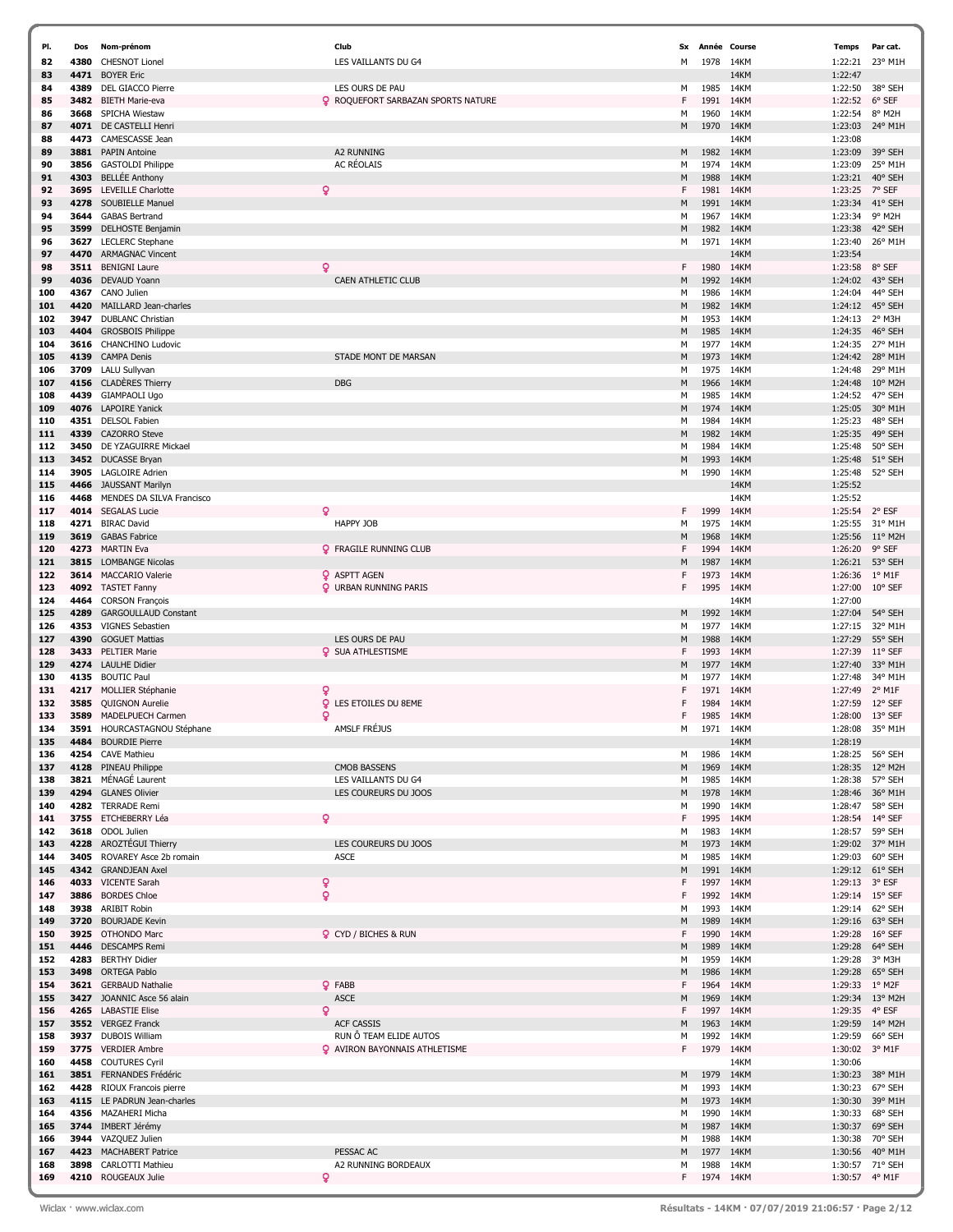| PI. | Dos  | Nom-prénom                  | Club                                      | Sx | Année Course |      | <b>Temps</b>   | Par cat.         |
|-----|------|-----------------------------|-------------------------------------------|----|--------------|------|----------------|------------------|
|     |      | <b>CHESNOT Lionel</b>       | LES VAILLANTS DU G4                       |    | 1978         |      |                | 23° M1H          |
| 82  | 4380 |                             |                                           | М  |              | 14KM | 1:22:21        |                  |
| 83  | 4471 | <b>BOYER Eric</b>           |                                           |    |              | 14KM | 1:22:47        |                  |
| 84  | 4389 | DEL GIACCO Pierre           | LES OURS DE PAU                           | м  | 1985         | 14KM | 1:22:50        | 38° SEH          |
| 85  |      | 3482 BIETH Marie-eva        | <b>Q</b> ROQUEFORT SARBAZAN SPORTS NATURE | F  | 1991         | 14KM | 1:22:52        | 6° SEF           |
| 86  | 3668 | SPICHA Wiestaw              |                                           | М  | 1960         | 14KM | 1:22:54        | 8° M2H           |
|     |      |                             |                                           |    |              |      |                |                  |
| 87  | 4071 | DE CASTELLI Henri           |                                           | M  | 1970         | 14KM | 1:23:03        | 24° M1H          |
| 88  | 4473 | CAMESCASSE Jean             |                                           |    |              | 14KM | 1:23:08        |                  |
| 89  | 3881 | <b>PAPIN Antoine</b>        | <b>A2 RUNNING</b>                         | M  | 1982         | 14KM | 1:23:09        | 39° SEH          |
| 90  | 3856 | <b>GASTOLDI Philippe</b>    | <b>AC RÉOLAIS</b>                         | м  | 1974         | 14KM | 1:23:09        | 25° M1H          |
| 91  | 4303 | <b>BELLÉE Anthony</b>       |                                           | M  | 1988         | 14KM | 1:23:21        | 40° SEH          |
|     |      |                             |                                           |    |              |      |                |                  |
| 92  | 3695 | <b>LEVEILLE Charlotte</b>   | ò                                         | F  | 1981         | 14KM | 1:23:25        | 7° SEF           |
| 93  |      | 4278 SOUBIELLE Manuel       |                                           | M  | 1991         | 14KM | 1:23:34        | 41° SEH          |
| 94  | 3644 | <b>GABAS Bertrand</b>       |                                           | М  | 1967         | 14KM | 1:23:34        | 9° M2H           |
| 95  | 3599 | <b>DELHOSTE Benjamin</b>    |                                           | M  | 1982         | 14KM | 1:23:38        | 42° SEH          |
|     |      |                             |                                           |    |              |      |                |                  |
| 96  | 3627 | <b>LECLERC</b> Stephane     |                                           | м  | 1971         | 14KM | 1:23:40        | 26° M1H          |
| 97  | 4470 | <b>ARMAGNAC Vincent</b>     |                                           |    |              | 14KM | 1:23:54        |                  |
| 98  | 3511 | <b>BENIGNI Laure</b>        | Q                                         | F. | 1980         | 14KM | 1:23:58        | 8° SEF           |
| 99  | 4036 | <b>DEVAUD Yoann</b>         | <b>CAEN ATHLETIC CLUB</b>                 | M  | 1992         | 14KM | 1:24:02        | 43° SEH          |
|     |      | CANO Julien                 |                                           |    |              | 14KM | 1:24:04        | 44° SEH          |
| 100 | 4367 |                             |                                           | м  | 1986         |      |                |                  |
| 101 | 4420 | MAILLARD Jean-charles       |                                           | M  | 1982         | 14KM | 1:24:12        | 45° SEH          |
| 102 | 3947 | <b>DUBLANC Christian</b>    |                                           | М  | 1953         | 14KM | 1:24:13        | 2° M3H           |
| 103 | 4404 | <b>GROSBOIS Philippe</b>    |                                           | M  | 1985         | 14KM | 1:24:35        | 46° SEH          |
| 104 |      | 3616 CHANCHINO Ludovic      |                                           | М  | 1977         | 14KM | 1:24:35        | 27° M1H          |
|     |      | <b>CAMPA Denis</b>          |                                           |    |              |      |                | 28° M1H          |
| 105 | 4139 |                             | STADE MONT DE MARSAN                      | M  | 1973         | 14KM | 1:24:42        |                  |
| 106 | 3709 | LALU Sullyvan               |                                           | м  | 1975         | 14KM | 1:24:48        | 29° M1H          |
| 107 |      | 4156 CLADÈRES Thierry       | <b>DBG</b>                                | M  | 1966         | 14KM | 1:24:48        | 10° M2H          |
| 108 | 4439 | <b>GIAMPAOLI Ugo</b>        |                                           | м  | 1985         | 14KM | 1:24:52        | 47° SEH          |
| 109 |      | 4076 LAPOIRE Yanick         |                                           | M  | 1974         | 14KM | 1:25:05        | 30° M1H          |
|     |      |                             |                                           |    |              |      |                |                  |
| 110 | 4351 | DELSOL Fabien               |                                           | М  | 1984         | 14KM | 1:25:23        | 48° SEH          |
| 111 | 4339 | <b>CAZORRO Steve</b>        |                                           | M  | 1982         | 14KM | 1:25:35        | 49° SEH          |
| 112 | 3450 | DE YZAGUIRRE Mickael        |                                           | М  | 1984         | 14KM | 1:25:48        | 50° SEH          |
| 113 |      | 3452 DUCASSE Bryan          |                                           | M  | 1993         | 14KM | 1:25:48        | 51° SEH          |
| 114 | 3905 | <b>LAGLOIRE Adrien</b>      |                                           | м  | 1990         | 14KM | 1:25:48        | 52° SEH          |
|     |      |                             |                                           |    |              |      |                |                  |
| 115 | 4466 | <b>JAUSSANT Marilyn</b>     |                                           |    |              | 14KM | 1:25:52        |                  |
| 116 | 4468 | MENDES DA SILVA Francisco   |                                           |    |              | 14KM | 1:25:52        |                  |
| 117 | 4014 | <b>SEGALAS Lucie</b>        | ò                                         | F  | 1999         | 14KM | 1:25:54        | 2° ESF           |
| 118 | 4271 | <b>BIRAC David</b>          | HAPPY JOB                                 | М  | 1975         | 14KM | 1:25:55        | 31° M1H          |
|     | 3619 | <b>GABAS Fabrice</b>        |                                           |    | 1968         | 14KM | 1:25:56        | $11^{\circ}$ M2H |
| 119 |      |                             |                                           | M  |              |      |                |                  |
| 120 | 4273 | <b>MARTIN Eva</b>           | <b>Q</b> FRAGILE RUNNING CLUB             | F  | 1994         | 14KM | 1:26:20        | 9° SEF           |
| 121 | 3815 | <b>LOMBANGE Nicolas</b>     |                                           | M  | 1987         | 14KM | 1:26:21        | 53° SEH          |
| 122 |      | 3614 MACCARIO Valerie       | <b>Q</b> ASPTT AGEN                       | F  | 1973         | 14KM | 1:26:36        | $1^{\circ}$ M1F  |
| 123 |      | 4092 TASTET Fanny           | <b>Q</b> URBAN RUNNING PARIS              | F  | 1995         | 14KM | 1:27:00        | $10^{\circ}$ SEF |
|     |      |                             |                                           |    |              |      |                |                  |
| 124 | 4464 | <b>CORSON François</b>      |                                           |    |              | 14KM | 1:27:00        |                  |
| 125 | 4289 | <b>GARGOULLAUD Constant</b> |                                           | M  | 1992         | 14KM | 1:27:04        | 54° SEH          |
| 126 | 4353 | <b>VIGNES Sebastien</b>     |                                           | М  | 1977         | 14KM | 1:27:15        | 32° M1H          |
| 127 | 4390 | <b>GOGUET Mattias</b>       | LES OURS DE PAU                           | M  | 1988         | 14KM | 1:27:29        | 55° SEH          |
| 128 |      | 3433 PELTIER Marie          | <b>Q</b> SUA ATHLESTISME                  | F  | 1993         | 14KM | 1:27:39        | $11^{\circ}$ SEF |
|     |      |                             |                                           |    |              |      |                |                  |
| 129 | 4274 | <b>LAULHE Didier</b>        |                                           | M  | 1977         | 14KM | 1:27:40        | 33° M1H          |
| 130 | 4135 | <b>BOUTIC Paul</b>          |                                           | м  | 1977         | 14KM | 1:27:48        | 34° M1H          |
| 131 |      | 4217 MOLLIER Stéphanie      | Q                                         | F  | 1971         | 14KM | 1:27:49        | 2° M1F           |
| 132 | 3585 | <b>QUIGNON Aurelie</b>      | ò<br>LES ETOILES DU 8EME                  |    | 1984         | 14KM | 1:27:59        | 12° SEF          |
| 133 | 3589 | MADELPUECH Carmen           | Q                                         |    | 1985         | 14KM | 1:28:00        | 13° SEF          |
|     |      |                             |                                           |    |              |      |                |                  |
| 134 | 3591 | HOURCASTAGNOU Stéphane      | AMSLF FRÉJUS                              | м  | 1971         | 14KM | 1:28:08        | 35° M1H          |
| 135 | 4484 | <b>BOURDIE Pierre</b>       |                                           |    |              | 14KM | 1:28:19        |                  |
| 136 |      | 4254 CAVE Mathieu           |                                           | м  | 1986         | 14KM |                | 1:28:25 56° SEH  |
| 137 |      | 4128 PINEAU Philippe        | <b>CMOB BASSENS</b>                       | M  | 1969         | 14KM | 1:28:35        | 12° M2H          |
| 138 |      | 3821 MÉNAGÉ Laurent         | LES VAILLANTS DU G4                       | м  | 1985         | 14KM | 1:28:38        | 57° SEH          |
|     |      |                             |                                           |    |              |      |                |                  |
| 139 |      | 4294 GLANES Olivier         | LES COUREURS DU JOOS                      | M  | 1978         | 14KM | 1:28:46        | 36° M1H          |
| 140 |      | 4282 TERRADE Remi           |                                           | м  | 1990         | 14KM | 1:28:47        | 58° SEH          |
| 141 |      | 3755 ETCHEBERRY Léa         | Q                                         | F  | 1995         | 14KM |                | 1:28:54 14° SEF  |
| 142 |      | 3618 ODOL Julien            |                                           | м  | 1983         | 14KM | 1:28:57        | 59° SEH          |
| 143 |      | 4228 AROZTÉGUI Thierry      | LES COUREURS DU JOOS                      | M  | 1973         | 14KM | 1:29:02        | 37° M1H          |
| 144 | 3405 | ROVAREY Asce 2b romain      | ASCE                                      | м  | 1985         | 14KM | 1:29:03        | 60° SEH          |
|     |      |                             |                                           |    |              |      |                |                  |
| 145 |      | 4342 GRANDJEAN Axel         |                                           | M  | 1991         | 14KM | 1:29:12        | 61° SEH          |
| 146 |      | 4033 VICENTE Sarah          | ò                                         | F  | 1997         | 14KM | 1:29:13        | 3° ESF           |
| 147 |      | 3886 BORDES Chloe           | ò                                         | F  | 1992         | 14KM |                | 1:29:14 15° SEF  |
| 148 | 3938 | <b>ARIBIT Robin</b>         |                                           | м  | 1993         | 14KM | 1:29:14        | 62° SEH          |
| 149 | 3720 | <b>BOURJADE Kevin</b>       |                                           | M  | 1989         | 14KM | 1:29:16        | 63° SEH          |
|     |      |                             |                                           |    |              |      |                |                  |
| 150 | 3925 | <b>OTHONDO Marc</b>         | <b>Q</b> CYD / BICHES & RUN               | F  | 1990         | 14KM | 1:29:28        | $16^{\circ}$ SEF |
| 151 | 4446 | <b>DESCAMPS Remi</b>        |                                           | М  | 1989         | 14KM | 1:29:28        | 64° SEH          |
| 152 | 4283 | <b>BERTHY Didier</b>        |                                           | м  | 1959         | 14KM | 1:29:28        | 3° M3H           |
| 153 | 3498 | <b>ORTEGA Pablo</b>         |                                           | М  | 1986         | 14KM | 1:29:28        | 65° SEH          |
| 154 |      | 3621 GERBAUD Nathalie       | <b>Q</b> FABB                             | F  | 1964         | 14KM | 1:29:33        | 1° M2F           |
|     |      |                             | <b>ASCE</b>                               | М  |              |      |                |                  |
| 155 |      | 3427 JOANNIC Asce 56 alain  |                                           |    | 1969         | 14KM | 1:29:34        | 13° M2H          |
| 156 |      | 4265 LABASTIE Elise         | ò                                         | F  | 1997         | 14KM | 1:29:35        | 4° ESF           |
| 157 |      | 3552 VERGEZ Franck          | <b>ACF CASSIS</b>                         | М  | 1963         | 14KM | 1:29:59        | 14° M2H          |
| 158 |      | 3937 DUBOIS William         | RUN Ô TEAM ELIDE AUTOS                    | M  | 1992         | 14KM | 1:29:59        | 66° SEH          |
| 159 |      | 3775 VERDIER Ambre          | <b>Q</b> AVIRON BAYONNAIS ATHLETISME      | F  | 1979         | 14KM | 1:30:02        | 3° M1F           |
|     |      |                             |                                           |    |              |      |                |                  |
| 160 |      | 4458 COUTURES Cyril         |                                           |    |              | 14KM | 1:30:06        |                  |
| 161 |      | 3851 FERNANDES Frédéric     |                                           | м  | 1979         | 14KM | 1:30:23        | 38° M1H          |
| 162 |      | 4428 RIOUX Francois pierre  |                                           | м  | 1993         | 14KM | 1:30:23        | 67° SEH          |
| 163 |      | 4115 LE PADRUN Jean-charles |                                           | M  | 1973         | 14KM | 1:30:30        | 39° M1H          |
| 164 |      | 4356 MAZAHERI Micha         |                                           | м  | 1990         | 14KM | 1:30:33        | 68° SEH          |
|     |      |                             |                                           |    |              |      |                |                  |
| 165 |      | 3744 IMBERT Jérémy          |                                           | M  | 1987         | 14KM | 1:30:37        | 69° SEH          |
| 166 |      | 3944 VAZQUEZ Julien         |                                           | м  | 1988         | 14KM | 1:30:38        | 70° SEH          |
| 167 |      | 4423 MACHABERT Patrice      | PESSAC AC                                 | М  | 1977         | 14KM | 1:30:56        | 40° M1H          |
| 168 | 3898 | <b>CARLOTTI Mathieu</b>     | A2 RUNNING BORDEAUX                       | м  | 1988         | 14KM |                | 1:30:57 71° SEH  |
| 169 |      | 4210 ROUGEAUX Julie         | ۰                                         | F. | 1974 14KM    |      | 1:30:57 4° M1F |                  |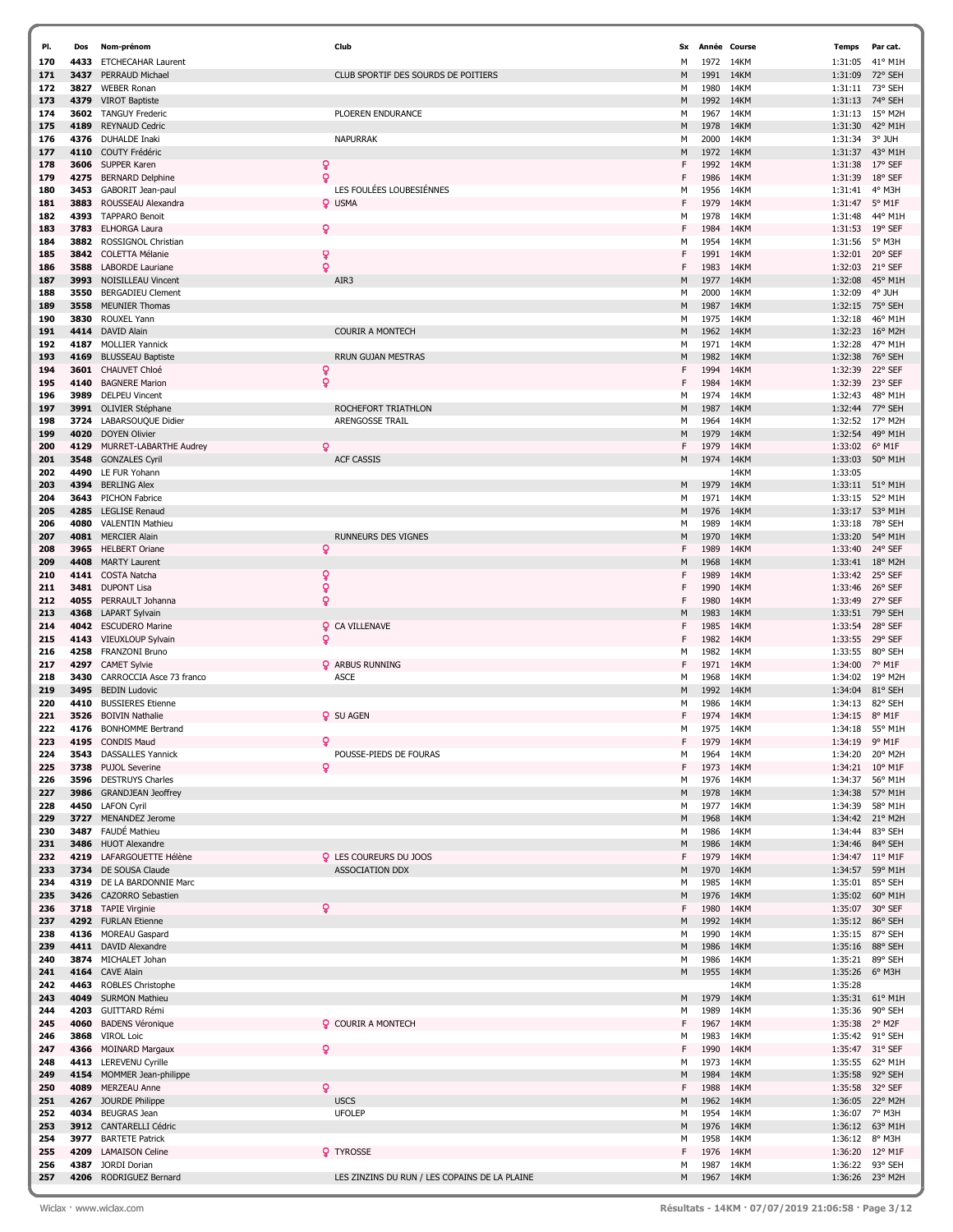| PI.        | Dos          | Nom-prénom                                       | Club                                                    | Sx     | Année Course |              | <b>Temps</b>       | Par cat.                   |
|------------|--------------|--------------------------------------------------|---------------------------------------------------------|--------|--------------|--------------|--------------------|----------------------------|
| 170        | 4433         | <b>ETCHECAHAR Laurent</b>                        |                                                         | М      | 1972 14KM    |              | 1:31:05            | 41° M1H                    |
| 171        | 3437         | PERRAUD Michael                                  | CLUB SPORTIF DES SOURDS DE POITIERS                     | M      | 1991         | 14KM         | 1:31:09            | 72° SEH                    |
| 172        | 3827         | <b>WEBER Ronan</b>                               |                                                         | М      | 1980         | 14KM         | 1:31:11 73° SEH    |                            |
| 173        | 4379         | <b>VIROT Baptiste</b>                            |                                                         | М      | 1992         | 14KM         | 1:31:13            | 74° SEH                    |
| 174        | 3602         | <b>TANGUY Frederic</b>                           | PLOEREN ENDURANCE                                       | м      | 1967         | 14KM         | 1:31:13            | 15° M2H                    |
| 175        | 4189         | <b>REYNAUD Cedric</b>                            |                                                         | М      | 1978         | 14KM         | 1:31:30            | 42° M1H                    |
| 176        | 4376         | <b>DUHALDE Inaki</b>                             | <b>NAPURRAK</b>                                         | м      | 2000         | 14KM         | 1:31:34            | 3° JUH                     |
| 177        | 4110         | COUTY Frédéric                                   |                                                         | М      | 1972         | 14KM         | 1:31:37            | 43° M1H                    |
| 178        | 3606         | SUPPER Karen                                     | ò                                                       | F      | 1992         | 14KM         | 1:31:38            | $17^{\circ}$ SEF           |
| 179        | 4275         | <b>BERNARD Delphine</b>                          | ò<br>LES FOULÉES LOUBESIÉNNES                           | F      | 1986         | 14KM         | 1:31:39            | 18° SEF                    |
| 180        | 3453         | GABORIT Jean-paul<br>ROUSSEAU Alexandra          |                                                         | м<br>F | 1956         | 14KM<br>14KM | 1:31:41            | 4° M3H                     |
| 181<br>182 | 3883<br>4393 | <b>TAPPARO Benoit</b>                            | <b>Q</b> USMA                                           | М      | 1979<br>1978 | 14KM         | 1:31:47<br>1:31:48 | 5° M1F<br>44° M1H          |
| 183        | 3783         | <b>ELHORGA Laura</b>                             | Q                                                       | F      | 1984         | 14KM         | 1:31:53            | 19° SEF                    |
| 184        | 3882         | ROSSIGNOL Christian                              |                                                         | м      | 1954         | 14KM         | 1:31:56            | 5° M3H                     |
| 185        | 3842         | <b>COLETTA Mélanie</b>                           | ç                                                       | F      | 1991         | 14KM         | 1:32:01            | 20° SEF                    |
| 186        | 3588         | <b>LABORDE</b> Lauriane                          | Ó                                                       | F      | 1983         | 14KM         | 1:32:03            | 21° SEF                    |
| 187        | 3993         | <b>NOISILLEAU Vincent</b>                        | AIR3                                                    | M      | 1977         | 14KM         | 1:32:08            | 45° M1H                    |
| 188        | 3550         | <b>BERGADIEU Clement</b>                         |                                                         | м      | 2000         | 14KM         | 1:32:09            | 4° JUH                     |
| 189        | 3558         | <b>MEUNIER Thomas</b>                            |                                                         | М      | 1987         | 14KM         | 1:32:15            | 75° SEH                    |
| 190        | 3830         | ROUXEL Yann                                      |                                                         | м      | 1975         | 14KM         | 1:32:18            | 46° M1H                    |
| 191        |              | 4414 DAVID Alain                                 | <b>COURIR A MONTECH</b>                                 | М      | 1962         | 14KM         | 1:32:23            | $16^{\circ}$ M2H           |
| 192        | 4187         | <b>MOLLIER Yannick</b>                           |                                                         | м      | 1971         | 14KM         | 1:32:28            | 47° M1H                    |
| 193        | 4169         | <b>BLUSSEAU Baptiste</b>                         | <b>RRUN GUJAN MESTRAS</b>                               | М      | 1982         | 14KM         | 1:32:38            | 76° SEH                    |
| 194        | 3601         | <b>CHAUVET Chloé</b>                             | ò                                                       | F      | 1994         | 14KM         | 1:32:39            | 22° SEF                    |
| 195        | 4140         | <b>BAGNERE Marion</b>                            | ð                                                       | F      | 1984         | 14KM         | 1:32:39            | 23° SEF                    |
| 196        | 3989         | <b>DELPEU Vincent</b>                            |                                                         | м      | 1974         | 14KM         | 1:32:43            | 48° M1H                    |
| 197        |              | 3991 OLIVIER Stéphane                            | ROCHEFORT TRIATHLON                                     | М      | 1987         | 14KM         |                    | 1:32:44 77° SEH            |
| 198        | 3724         | LABARSOUQUE Didier                               | ARENGOSSE TRAIL                                         | м      | 1964         | 14KM         | 1:32:52            | 17° M2H                    |
| 199        |              | 4020 DOYEN Olivier                               |                                                         | М      | 1979         | 14KM         | 1:32:54            | 49° M1H                    |
| 200        | 4129         | MURRET-LABARTHE Audrey                           | ö                                                       | F      | 1979         | 14KM         | 1:33:02            | $6^{\circ}$ M1F            |
| 201        | 3548         | <b>GONZALES Cyril</b>                            | <b>ACF CASSIS</b>                                       | М      | 1974 14KM    |              | 1:33:03            | 50° M1H                    |
| 202        | 4490         | LE FUR Yohann                                    |                                                         |        |              | 14KM         | 1:33:05            |                            |
| 203        | 4394         | <b>BERLING Alex</b>                              |                                                         | M      | 1979         | 14KM         | 1:33:11            | 51° M1H                    |
| 204        | 3643         | <b>PICHON Fabrice</b>                            |                                                         | М      | 1971         | 14KM         | 1:33:15            | 52° M1H                    |
| 205        | 4285         | <b>LEGLISE Renaud</b>                            |                                                         | М      | 1976         | 14KM         | 1:33:17            | 53° M1H                    |
| 206        | 4080         | <b>VALENTIN Mathieu</b>                          |                                                         | м      | 1989         | 14KM         | 1:33:18            | 78° SEH                    |
| 207        | 4081         | <b>MERCIER Alain</b>                             | RUNNEURS DES VIGNES                                     | M      | 1970         | 14KM         | 1:33:20            | 54° M1H                    |
| 208        | 3965         | <b>HELBERT Oriane</b>                            | Q                                                       | F      | 1989         | 14KM         | 1:33:40            | 24° SEF                    |
| 209        | 4408         | <b>MARTY Laurent</b>                             |                                                         | М      | 1968         | 14KM         | 1:33:41            | 18° M2H                    |
| 210        | 4141         | COSTA Natcha                                     | ò                                                       | F      | 1989         | 14KM         | 1:33:42 25° SEF    |                            |
| 211        | 3481         | <b>DUPONT Lisa</b>                               | Ó                                                       | F      | 1990         | 14KM         | 1:33:46            | 26° SEF                    |
| 212<br>213 | 4055<br>4368 | PERRAULT Johanna                                 | ð                                                       | F      | 1980<br>1983 | 14KM<br>14KM | 1:33:49            | 27° SEF<br>79° SEH         |
| 214        |              | <b>LAPART Sylvain</b><br>4042 ESCUDERO Marine    | <b>Q</b> CA VILLENAVE                                   | М<br>F | 1985         | 14KM         | 1:33:51<br>1:33:54 | 28° SEF                    |
| 215        |              | 4143 VIEUXLOUP Sylvain                           | $\mathsf{Q}$                                            | F      | 1982         | 14KM         | 1:33:55            | 29° SEF                    |
| 216        | 4258         | FRANZONI Bruno                                   |                                                         | м      | 1982         | 14KM         | 1:33:55            | 80° SEH                    |
| 217        | 4297         | <b>CAMET Sylvie</b>                              | <b>Q</b> ARBUS RUNNING                                  | F      | 1971         | 14KM         | 1:34:00            | 7° M1F                     |
| 218        | 3430         | CARROCCIA Asce 73 franco                         | <b>ASCE</b>                                             | М      | 1968         | 14KM         | 1:34:02            | 19° M2H                    |
| 219        | 3495         | <b>BEDIN Ludovic</b>                             |                                                         | M      | 1992         | 14KM         | 1:34:04            | 81° SEH                    |
| 220        | 4410         | <b>BUSSIERES Etienne</b>                         |                                                         | м      | 1986         | 14KM         | 1:34:13            | 82° SEH                    |
| 221        | 3526         | <b>BOIVIN Nathalie</b>                           | <b>Q</b> SU AGEN                                        | F      | 1974         | 14KM         | 1:34:15            | $8^{\circ}$ M1F            |
| 222        |              | 4176 BONHOMME Bertrand                           |                                                         | М      | 1975         | 14KM         | 1:34:18            | 55° M1H                    |
| 223        |              | 4195 CONDIS Maud                                 | ₽                                                       | F      | 1979         | 14KM         | 1:34:19 9° M1F     |                            |
| 224        |              | 3543 DASSALLES Yannick                           | POUSSE-PIEDS DE FOURAS                                  | м      | 1964         | 14KM         | 1:34:20            | 20° M2H                    |
| 225        | 3738         | <b>PUJOL Severine</b>                            | Q                                                       | F      | 1973         | 14KM         |                    | 1:34:21 10° M1F            |
| 226        |              | 3596 DESTRUYS Charles                            |                                                         | м      | 1976 14KM    |              | 1:34:37            | 56° M1H                    |
| 227        | 3986         | <b>GRANDJEAN Jeoffrey</b>                        |                                                         | М      | 1978         | 14KM         | 1:34:38            | 57° M1H                    |
| 228        |              | 4450 LAFON Cyril                                 |                                                         | м      | 1977         | 14KM         | 1:34:39            | 58° M1H                    |
| 229        |              | 3727 MENANDEZ Jerome                             |                                                         | М      | 1968         | 14KM         |                    | 1:34:42 21° M2H            |
| 230<br>231 | 3487<br>3486 | FAUDÉ Mathieu<br><b>HUOT Alexandre</b>           |                                                         | м<br>М | 1986<br>1986 | 14KM<br>14KM | 1:34:44            | 83° SEH<br>1:34:46 84° SEH |
|            |              |                                                  |                                                         |        |              |              |                    | $11^{\circ}$ M1F           |
| 232<br>233 | 4219         | LAFARGOUETTE Hélène<br>3734 DE SOUSA Claude      | <b>Q</b> LES COUREURS DU JOOS<br><b>ASSOCIATION DDX</b> | F<br>М | 1979<br>1970 | 14KM<br>14KM | 1:34:47<br>1:34:57 | 59° M1H                    |
| 234        |              | 4319 DE LA BARDONNIE Marc                        |                                                         | м      | 1985         | 14KM         | 1:35:01            | 85° SEH                    |
| 235        |              | 3426 CAZORRO Sebastien                           |                                                         | M      | 1976         | 14KM         | 1:35:02            | 60° M1H                    |
| 236        |              | 3718 TAPIE Virginie                              | ò                                                       | F      | 1980         | 14KM         | 1:35:07            | 30° SEF                    |
| 237        |              | 4292 FURLAN Etienne                              |                                                         | М      | 1992         | 14KM         |                    | 1:35:12 86° SEH            |
| 238        |              | 4136 MOREAU Gaspard                              |                                                         | м      | 1990         | 14KM         | 1:35:15            | 87° SEH                    |
| 239        |              | 4411 DAVID Alexandre                             |                                                         | М      | 1986         | 14KM         |                    | 1:35:16 88° SEH            |
| 240        |              | 3874 MICHALET Johan                              |                                                         | м      | 1986         | 14KM         | 1:35:21            | 89° SEH                    |
| 241        |              | 4164 CAVE Alain                                  |                                                         | М      | 1955         | 14KM         | 1:35:26 6° M3H     |                            |
| 242        | 4463         | <b>ROBLES Christophe</b>                         |                                                         |        |              | 14KM         | 1:35:28            |                            |
| 243        | 4049         | <b>SURMON Mathieu</b>                            |                                                         | М      | 1979         | 14KM         | 1:35:31            | $61^{\circ}$ M1H           |
| 244        |              | 4203 GUITTARD Rémi                               |                                                         | м      | 1989         | 14KM         | 1:35:36            | 90° SEH                    |
| 245        | 4060         | <b>BADENS Véronique</b>                          | <b>Q</b> COURIR A MONTECH                               | F      | 1967         | 14KM         | 1:35:38 2° M2F     |                            |
| 246        | 3868         | <b>VIROL Loic</b>                                |                                                         | м      | 1983         | 14KM         |                    | 1:35:42 91° SEH            |
| 247        |              | 4366 MOINARD Margaux                             | ο                                                       | F      | 1990         | 14KM         | 1:35:47 31° SEF    |                            |
| 248        |              | 4413 LEREVENU Cyrille                            |                                                         | м      | 1973         | 14KM         | 1:35:55            | 62° M1H                    |
| 249        |              | 4154 MOMMER Jean-philippe                        |                                                         | М      | 1984         | 14KM         | 1:35:58            | 92° SEH                    |
| 250        |              | 4089 MERZEAU Anne                                | Q                                                       | F      | 1988         | 14KM         | 1:35:58 32° SEF    |                            |
| 251        |              | 4267 JOURDE Philippe                             | <b>USCS</b>                                             | М      | 1962         | 14KM         | 1:36:05            | 22° M2H                    |
| 252        |              | 4034 BEUGRAS Jean                                | <b>UFOLEP</b>                                           | М      | 1954         | 14KM         | 1:36:07 7° M3H     |                            |
| 253        |              | 3912 CANTARELLI Cédric                           |                                                         | М      | 1976         | 14KM         | 1:36:12            | 63° M1H                    |
| 254<br>255 | 3977<br>4209 | <b>BARTETE Patrick</b><br><b>LAMAISON Celine</b> | <b>Q</b> TYROSSE                                        | м<br>F | 1958<br>1976 | 14KM<br>14KM | 1:36:12 8° M3H     | 1:36:20 12° M1F            |
| 256        |              | 4387 JORDI Dorian                                |                                                         | м      | 1987         | 14KM         | 1:36:22            | 93° SEH                    |
| 257        |              | 4206 RODRIGUEZ Bernard                           | LES ZINZINS DU RUN / LES COPAINS DE LA PLAINE           | M      | 1967 14KM    |              |                    | 1:36:26 23° M2H            |
|            |              |                                                  |                                                         |        |              |              |                    |                            |

7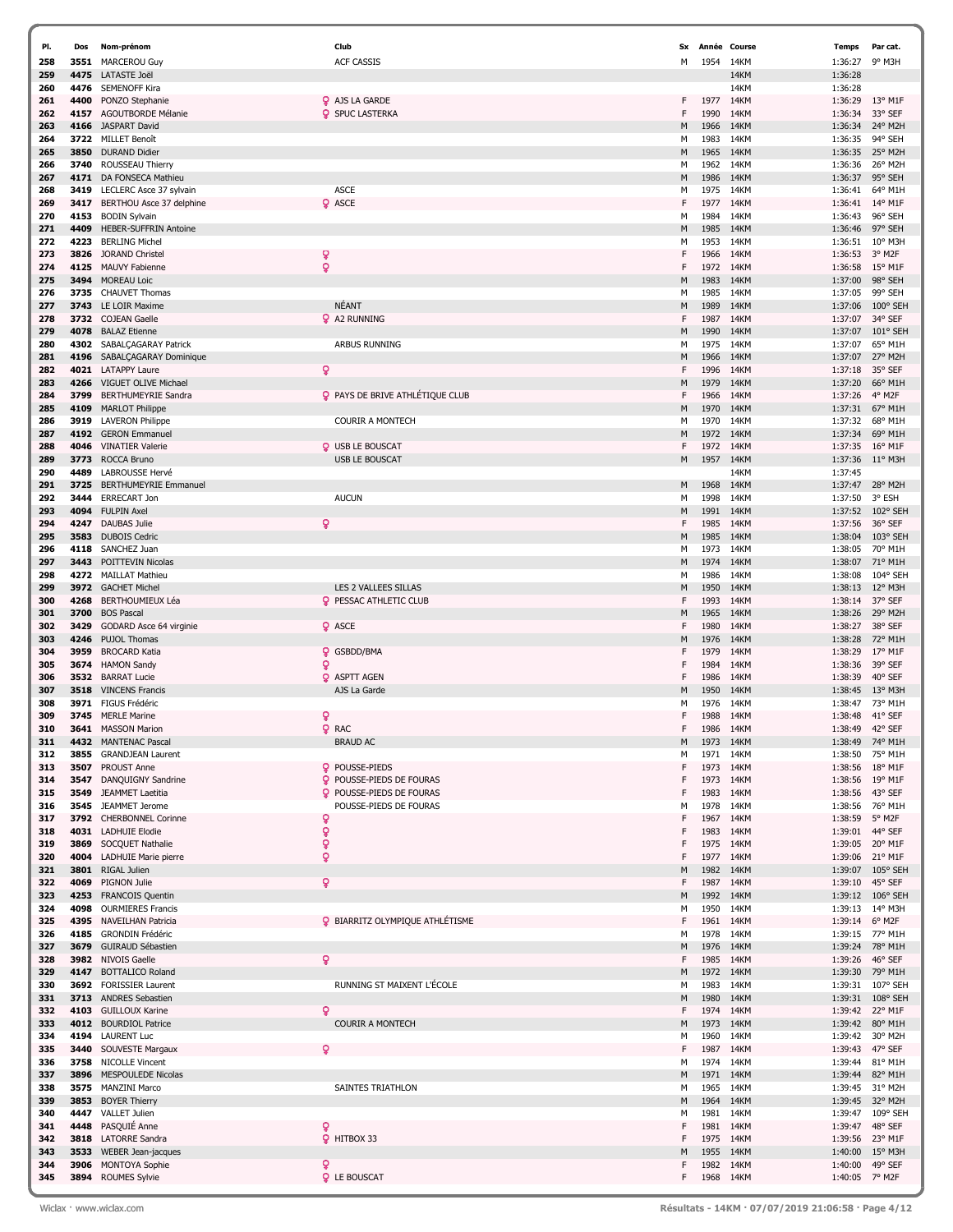| PI. | Dos  | Nom-prénom                   | Club                                   | <b>Sx</b> | Année Course |      | Temps          | Par cat.          |
|-----|------|------------------------------|----------------------------------------|-----------|--------------|------|----------------|-------------------|
| 258 |      | 3551 MARCEROU Guy            | <b>ACF CASSIS</b>                      | м         | 1954         | 14KM | 1:36:27        | 9° M3H            |
| 259 | 4475 | LATASTE Joël                 |                                        |           |              | 14KM | 1:36:28        |                   |
| 260 | 4476 | <b>SEMENOFF Kira</b>         |                                        |           |              | 14KM | 1:36:28        |                   |
| 261 | 4400 | PONZO Stephanie              | <b>Q</b> AJS LA GARDE                  | F         | 1977         | 14KM | 1:36:29        | 13° M1F           |
| 262 | 4157 | AGOUTBORDE Mélanie           | <b>Q</b> SPUC LASTERKA                 | F         | 1990         | 14KM | 1:36:34        | 33° SEF           |
| 263 | 4166 | <b>JASPART David</b>         |                                        | М         | 1966         | 14KM | 1:36:34        | 24° M2H           |
| 264 | 3722 | <b>MILLET Benoît</b>         |                                        | м         | 1983         | 14KM | 1:36:35        | 94° SEH           |
|     |      |                              |                                        |           |              |      |                |                   |
| 265 | 3850 | <b>DURAND Didier</b>         |                                        | М         | 1965         | 14KM | 1:36:35        | 25° M2H           |
| 266 | 3740 | ROUSSEAU Thierry             |                                        | M         | 1962         | 14KM | 1:36:36        | 26° M2H           |
| 267 | 4171 | DA FONSECA Mathieu           |                                        | M         | 1986         | 14KM | 1:36:37        | 95° SEH           |
| 268 | 3419 | LECLERC Asce 37 sylvain      | <b>ASCE</b>                            | М         | 1975         | 14KM | 1:36:41        | 64° M1H           |
| 269 | 3417 | BERTHOU Asce 37 delphine     | <b>Q</b> ASCE                          | F         | 1977         | 14KM | 1:36:41        | 14° M1F           |
| 270 | 4153 | <b>BODIN Sylvain</b>         |                                        | М         | 1984         | 14KM | 1:36:43        | 96° SEH           |
| 271 | 4409 | HEBER-SUFFRIN Antoine        |                                        | M         | 1985         | 14KM | 1:36:46        | 97° SEH           |
| 272 | 4223 | <b>BERLING Michel</b>        |                                        | M         | 1953         | 14KM | 1:36:51        | 10° M3H           |
| 273 | 3826 | JORAND Christel              | ó                                      | F         | 1966         | 14KM | 1:36:53        | 3° M2F            |
| 274 | 4125 | <b>MAUVY Fabienne</b>        | ò                                      | F         | 1972         | 14KM | 1:36:58        | $15^{\circ}$ M1F  |
| 275 | 3494 | <b>MOREAU Loic</b>           |                                        | M         | 1983         | 14KM | 1:37:00        | 98° SEH           |
| 276 | 3735 | <b>CHAUVET Thomas</b>        |                                        | М         | 1985         | 14KM | 1:37:05        | 99° SEH           |
| 277 | 3743 | LE LOIR Maxime               | <b>NÉANT</b>                           | M         | 1989         | 14KM | 1:37:06        | 100° SEH          |
| 278 |      | 3732 COJEAN Gaelle           | <b>Q</b> A2 RUNNING                    | F         | 1987         | 14KM | 1:37:07        | 34° SEF           |
| 279 | 4078 | <b>BALAZ Etienne</b>         |                                        | M         | 1990         | 14KM | 1:37:07        | 101° SEH          |
|     |      |                              |                                        |           |              |      |                |                   |
| 280 | 4302 | SABALCAGARAY Patrick         | <b>ARBUS RUNNING</b>                   | м         | 1975         | 14KM | 1:37:07        | 65° M1H           |
| 281 | 4196 | SABALCAGARAY Dominique       |                                        | М         | 1966         | 14KM | 1:37:07        | 27° M2H           |
| 282 |      | 4021 LATAPPY Laure           | ò                                      | F         | 1996         | 14KM | 1:37:18        | 35° SEF           |
| 283 | 4266 | VIGUET OLIVE Michae          |                                        | M         | 1979         | 14KM | 1:37:20        | 66° M1H           |
| 284 | 3799 | <b>BERTHUMEYRIE Sandra</b>   | PAYS DE BRIVE ATHLÉTIQUE CLUB          | F         | 1966         | 14KM | 1:37:26        | 4° M2F            |
| 285 | 4109 | <b>MARLOT Philippe</b>       |                                        | M         | 1970         | 14KM | 1:37:31        | 67° M1H           |
| 286 | 3919 | <b>LAVERON Philippe</b>      | <b>COURIR A MONTECH</b>                | M         | 1970         | 14KM | 1:37:32        | 68° M1H           |
| 287 |      | 4192 GERON Emmanuel          |                                        | M         | 1972         | 14KM | 1:37:34        | 69° M1H           |
| 288 | 4046 | <b>VINATIER Valerie</b>      | <b>Q</b> USB LE BOUSCAT                | F         | 1972         | 14KM | 1:37:35        | 16° M1F           |
| 289 | 3773 | ROCCA Bruno                  | <b>USB LE BOUSCAT</b>                  | М         | 1957         | 14KM | 1:37:36        | $11^{\circ}$ M3H  |
| 290 | 4489 | LABROUSSE Hervé              |                                        |           |              | 14KM | 1:37:45        |                   |
| 291 | 3725 | <b>BERTHUMEYRIE Emmanuel</b> |                                        | М         | 1968         | 14KM | 1:37:47        | 28° M2H           |
| 292 | 3444 | <b>ERRECART Jon</b>          | <b>AUCUN</b>                           | м         | 1998         | 14KM | 1:37:50        | 3° ESH            |
| 293 | 4094 | <b>FULPIN Axel</b>           |                                        | M         | 1991         | 14KM | 1:37:52        | 102° SEH          |
| 294 | 4247 | DAUBAS Julie                 | ò                                      | F         | 1985         | 14KM | 1:37:56        | 36° SEF           |
| 295 | 3583 | <b>DUBOIS Cedric</b>         |                                        | М         | 1985         | 14KM | 1:38:04        | 103° SEH          |
|     |      |                              |                                        |           |              |      |                |                   |
| 296 | 4118 | SANCHEZ Juan                 |                                        | м         | 1973         | 14KM | 1:38:05        | 70° M1H           |
| 297 | 3443 | POITTEVIN Nicolas            |                                        | М         | 1974         | 14KM | 1:38:07        | 71° M1H           |
| 298 | 4272 | <b>MAILLAT Mathieu</b>       |                                        | М         | 1986         | 14KM | 1:38:08        | 104° SEH          |
| 299 | 3972 | <b>GACHET Michel</b>         | LES 2 VALLEES SILLAS                   | M         | 1950         | 14KM | 1:38:13        | 12° M3H           |
| 300 | 4268 | BERTHOUMIEUX Léa             | <b>Q</b> PESSAC ATHLETIC CLUB          | F         | 1993         | 14KM | 1:38:14        | 37° SEF           |
| 301 | 3700 | <b>BOS Pascal</b>            |                                        | M         | 1965         | 14KM | 1:38:26        | 29° M2H           |
| 302 | 3429 | GODARD Asce 64 virginie      | <b>Q</b> ASCE                          | F         | 1980         | 14KM | 1:38:27        | 38° SEF           |
| 303 | 4246 | PUJOL Thomas                 |                                        | M         | 1976         | 14KM | 1:38:28        | 72° M1H           |
| 304 | 3959 | <b>BROCARD Katia</b>         | <b>Q</b> GSBDD/BMA                     | F         | 1979         | 14KM | 1:38:29        | 17° M1F           |
| 305 | 3674 | <b>HAMON Sandy</b>           | Q                                      | F         | 1984         | 14KM | 1:38:36        | 39° SEF           |
| 306 | 3532 | <b>BARRAT Lucie</b>          | <b>Q</b> ASPTT AGEN                    | F         | 1986         | 14KM | 1:38:39        | 40° SEF           |
| 307 | 3518 | <b>VINCENS Francis</b>       | AJS La Garde                           | M         | 1950         | 14KM | 1:38:45        | 13° M3H           |
| 308 | 3971 | <b>FIGUS Frédéric</b>        |                                        | м         | 1976         | 14KM | 1:38:47        | 73° M1H           |
| 309 | 3745 | <b>MERLE Marine</b>          | Q                                      | F         | 1988         | 14KM | 1:38:48        | 41° SEF           |
| 310 |      | 3641 MASSON Marion           | <b>Q</b> RAC                           | F         | 1986         | 14KM | 1:38:49        | 42° SEF           |
| 311 |      | 4432 MANTENAC Pascal         | <b>BRAUD AC</b>                        | М         | 1973         | 14KM | 1:38:49        | 74° M1H           |
| 312 | 3855 | <b>GRANDJEAN Laurent</b>     |                                        | М         | 1971         | 14KM | 1:38:50        | 75° M1H           |
| 313 | 3507 | <b>PROUST Anne</b>           | POUSSE-PIEDS                           | F         | 1973         | 14KM | 1:38:56        | 18° M1F           |
|     |      |                              |                                        |           |              |      |                |                   |
| 314 | 3547 | DANQUIGNY Sandrine           | <b>Q</b> POUSSE-PIEDS DE FOURAS        | F<br>F    | 1973         | 14KM | 1:38:56        | 19° M1F           |
| 315 | 3549 | JEAMMET Laetitia             | <b>Q</b> POUSSE-PIEDS DE FOURAS        |           | 1983         | 14KM | 1:38:56        | 43° SEF           |
| 316 | 3545 | JEAMMET Jerome               | POUSSE-PIEDS DE FOURAS                 | м         | 1978         | 14KM | 1:38:56        | 76° M1H           |
| 317 |      | 3792 CHERBONNEL Corinne      | ó                                      | F         | 1967         | 14KM | 1:38:59        | 5° M2F            |
| 318 |      | 4031 LADHUIE Elodie          | ó                                      | F         | 1983         | 14KM | 1:39:01        | 44° SEF           |
| 319 | 3869 | SOCQUET Nathalie             | ò                                      | F         | 1975         | 14KM | 1:39:05        | 20° M1F           |
| 320 | 4004 | LADHUIE Marie pierre         | ò                                      | F         | 1977         | 14KM | 1:39:06        | 21° M1F           |
| 321 | 3801 | RIGAL Julien                 |                                        | M         | 1982         | 14KM | 1:39:07        | 105° SEH          |
| 322 | 4069 | PIGNON Julie                 | Q.                                     | F         | 1987         | 14KM | 1:39:10        | 45° SEF           |
| 323 | 4253 | <b>FRANCOIS Quentin</b>      |                                        | М         | 1992         | 14KM | 1:39:12        | $106^{\circ}$ SEH |
| 324 | 4098 | <b>OURMIERES Francis</b>     |                                        | М         | 1950         | 14KM | 1:39:13        | 14° M3H           |
| 325 | 4395 | <b>NAVEILHAN Patricia</b>    | <b>9 BIARRITZ OLYMPIQUE ATHLÉTISME</b> | F         | 1961         | 14KM | 1:39:14        | 6° M2F            |
| 326 | 4185 | <b>GRONDIN Frédéric</b>      |                                        | М         | 1978         | 14KM | 1:39:15        | 77° M1H           |
| 327 | 3679 | GUIRAUD Sébastien            |                                        | М         | 1976         | 14KM |                | 1:39:24 78° M1H   |
| 328 | 3982 | NIVOIS Gaelle                | Q.                                     | F         | 1985         | 14KM | 1:39:26        | 46° SEF           |
| 329 |      | 4147 BOTTALICO Roland        |                                        | М         | 1972         | 14KM | 1:39:30        | 79° M1H           |
| 330 |      | 3692 FORISSIER Laurent       | RUNNING ST MAIXENT L'ÉCOLE             | м         | 1983         | 14KM | 1:39:31        | 107° SEH          |
| 331 | 3713 | <b>ANDRES Sebastien</b>      |                                        | М         | 1980         | 14KM | 1:39:31        | 108° SEH          |
| 332 | 4103 | <b>GUILLOUX Karine</b>       | Q                                      | F         | 1974         | 14KM |                | 1:39:42 22° M1F   |
| 333 |      | 4012 BOURDIOL Patrice        | <b>COURIR A MONTECH</b>                | М         | 1973         | 14KM | 1:39:42        | 80° M1H           |
| 334 |      | 4194 LAURENT Luc             |                                        | М         | 1960         | 14KM | 1:39:42        | 30° M2H           |
|     |      |                              |                                        | F         |              |      |                |                   |
| 335 |      | 3440 SOUVESTE Margaux        |                                        |           | 1987         | 14KM | 1:39:43        | 47° SEF           |
| 336 | 3758 | <b>NICOLLE Vincent</b>       |                                        | М         | 1974         | 14KM | 1:39:44        | 81° M1H           |
| 337 |      | 3896 MESPOULEDE Nicolas      |                                        | М         | 1971         | 14KM | 1:39:44        | 82° M1H           |
| 338 | 3575 | <b>MANZINI Marco</b>         | SAINTES TRIATHLON                      | м         | 1965         | 14KM | 1:39:45        | 31° M2H           |
| 339 | 3853 | <b>BOYER Thierry</b>         |                                        | М         | 1964         | 14KM | 1:39:45        | 32° M2H           |
| 340 | 4447 | <b>VALLET Julien</b>         |                                        | М         | 1981         | 14KM | 1:39:47        | 109° SEH          |
| 341 |      | 4448 PASQUIÉ Anne            | Q                                      | F         | 1981         | 14KM | 1:39:47        | 48° SEF           |
| 342 |      | 3818 LATORRE Sandra          | P HITBOX 33                            | F         | 1975         | 14KM | 1:39:56        | 23° M1F           |
| 343 | 3533 | WEBER Jean-jacques           |                                        | М         | 1955         | 14KM | 1:40:00        | $15^{\circ}$ M3H  |
| 344 |      | 3906 MONTOYA Sophie          | Q                                      | F         | 1982         | 14KM | 1:40:00        | 49° SEF           |
| 345 |      | 3894 ROUMES Sylvie           | <b>Q</b> LE BOUSCAT                    | F.        | 1968 14KM    |      | 1:40:05 7° M2F |                   |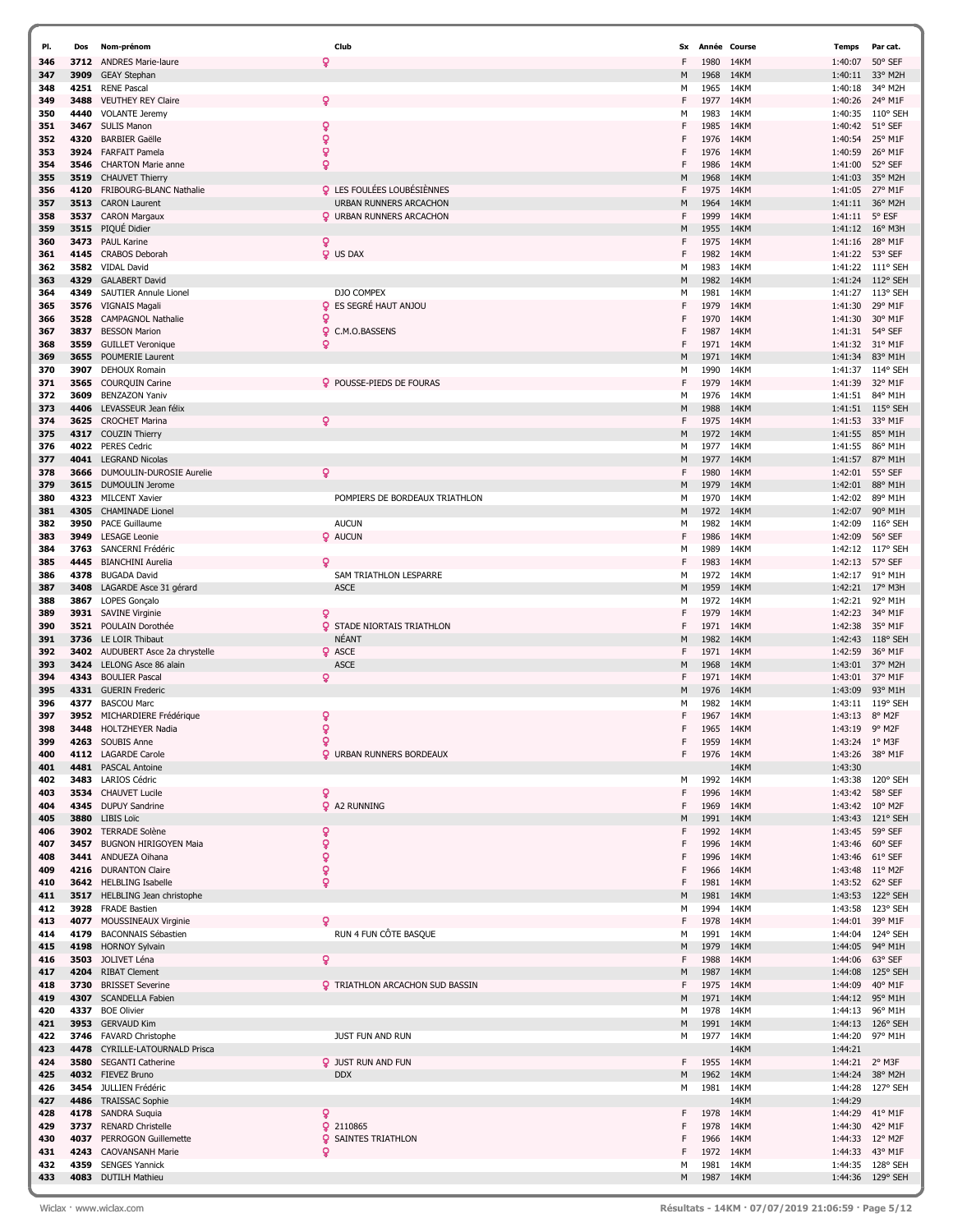| PI.        | Dos          | Nom-prénom                                         | Club                                   | Sx     |              | Année Course | Temps              | Par cat.            |
|------------|--------------|----------------------------------------------------|----------------------------------------|--------|--------------|--------------|--------------------|---------------------|
| 346        | 3712         | <b>ANDRES Marie-laure</b>                          | ò                                      | F      | 1980         | 14KM         | 1:40:07            | 50° SEF             |
| 347        | 3909         | <b>GEAY Stephan</b>                                |                                        | M      | 1968         | 14KM         | 1:40:11            | 33° M2H             |
| 348        | 4251         | <b>RENE Pascal</b>                                 |                                        | м      | 1965         | 14KM         | 1:40:18            | 34° M2H             |
| 349        | 3488         | <b>VEUTHEY REY Claire</b>                          | Q                                      | F      | 1977         | 14KM         | 1:40:26            | 24° M1F             |
| 350        | 4440         | <b>VOLANTE Jeremy</b>                              |                                        | м      | 1983         | 14KM         | 1:40:35            | $110^{\circ}$ SEH   |
| 351        | 3467         | <b>SULIS Manon</b>                                 | ó                                      | F      | 1985         | 14KM         | 1:40:42            | 51° SEF             |
| 352        | 4320         | <b>BARBIER Gaëlle</b>                              | ò                                      | F<br>F | 1976         | 14KM         | 1:40:54            | 25° M1F<br>26° M1F  |
| 353        | 3924         | <b>FARFAIT Pamela</b><br><b>CHARTON Marie anne</b> | ö<br>ó                                 | F      | 1976<br>1986 | 14KM<br>14KM | 1:40:59            | 52° SEF             |
| 354<br>355 | 3546<br>3519 | <b>CHAUVET Thierry</b>                             |                                        | M      | 1968         | 14KM         | 1:41:00<br>1:41:03 | 35° M2H             |
| 356        | 4120         | FRIBOURG-BLANC Nathalie                            | <b>Q</b> LES FOULÉES LOUBÉSIÈNNES      | F      | 1975         | 14KM         | 1:41:05            | 27° M1F             |
| 357        | 3513         | <b>CARON Laurent</b>                               | URBAN RUNNERS ARCACHON                 | M      | 1964         | 14KM         | 1:41:11            | 36° M2H             |
| 358        | 3537         | <b>CARON Margaux</b>                               | <b>Q</b> URBAN RUNNERS ARCACHON        | F      | 1999         | 14KM         | 1:41:11            | 5° ESF              |
| 359        | 3515         | PIQUÉ Didier                                       |                                        | M      | 1955         | 14KM         | 1:41:12            | $16^{\circ}$ M3H    |
| 360        | 3473         | <b>PAUL Karine</b>                                 | ò                                      | F      | 1975         | 14KM         | 1:41:16            | 28° M1F             |
| 361        | 4145         | <b>CRABOS Deborah</b>                              | <b>Q</b> US DAX                        | F      | 1982         | 14KM         | 1:41:22            | 53° SEF             |
| 362        | 3582         | <b>VIDAL David</b>                                 |                                        | м      | 1983         | 14KM         |                    | 1:41:22 111° SEH    |
| 363        | 4329         | <b>GALABERT David</b>                              |                                        | M      | 1982         | 14KM         | 1:41:24            | 112° SEH            |
| 364        | 4349         | SAUTIER Annule Lionel                              | DJO COMPEX                             | м      | 1981         | 14KM         | 1:41:27            | 113° SEH            |
| 365        | 3576         | <b>VIGNAIS Magali</b>                              | <b>Q</b> ES SEGRÉ HAUT ANJOU<br>ö      | F<br>F | 1979         | 14KM         | 1:41:30            | 29° M1F<br>30° M1F  |
| 366<br>367 | 3528<br>3837 | <b>CAMPAGNOL Nathalie</b><br><b>BESSON Marion</b>  | ö<br>C.M.O.BASSENS                     | F      | 1970<br>1987 | 14KM<br>14KM | 1:41:30<br>1:41:31 | 54° SEF             |
| 368        | 3559         | <b>GUILLET Veronique</b>                           | Q                                      | F      | 1971         | 14KM         | 1:41:32            | 31° M1F             |
| 369        | 3655         | <b>POUMERIE Laurent</b>                            |                                        | M      | 1971         | 14KM         | 1:41:34            | 83° M1H             |
| 370        | 3907         | DEHOUX Romain                                      |                                        | м      | 1990         | 14KM         | 1:41:37            | 114° SEH            |
| 371        | 3565         | <b>COURQUIN Carine</b>                             | <b>Q</b> POUSSE-PIEDS DE FOURAS        | F      | 1979         | 14KM         | 1:41:39            | 32° M1F             |
| 372        | 3609         | <b>BENZAZON Yaniv</b>                              |                                        | м      | 1976         | 14KM         | 1:41:51            | 84° M1H             |
| 373        | 4406         | LEVASSEUR Jean félix                               |                                        | M      | 1988         | 14KM         | 1:41:51            | $115^{\circ}$ SEH   |
| 374        | 3625         | <b>CROCHET Marina</b>                              | Q                                      | F      | 1975         | 14KM         | 1:41:53            | 33° M1F             |
| 375        | 4317         | <b>COUZIN Thierry</b>                              |                                        | M      | 1972         | 14KM         | 1:41:55            | 85° M1H             |
| 376        | 4022         | <b>PERES Cedric</b>                                |                                        | м      | 1977         | 14KM         | 1:41:55            | 86° M1H             |
| 377        | 4041         | <b>LEGRAND Nicolas</b>                             | Q                                      | M<br>F | 1977         | 14KM         | 1:41:57            | 87° M1H             |
| 378<br>379 | 3666<br>3615 | DUMOULIN-DUROSIE Aurelie<br>DUMOULIN Jerome        |                                        | M      | 1980<br>1979 | 14KM<br>14KM | 1:42:01<br>1:42:01 | 55° SEF<br>88° M1H  |
| 380        | 4323         | <b>MILCENT Xavier</b>                              | POMPIERS DE BORDEAUX TRIATHLON         | м      | 1970         | 14KM         | 1:42:02            | 89° M1H             |
| 381        | 4305         | <b>CHAMINADE Lionel</b>                            |                                        | M      | 1972         | 14KM         | 1:42:07            | 90° M1H             |
| 382        | 3950         | <b>PACE Guillaume</b>                              | <b>AUCUN</b>                           | м      | 1982         | 14KM         | 1:42:09            | 116° SEH            |
| 383        | 3949         | <b>LESAGE Leonie</b>                               | <b>Q</b> AUCUN                         | F      | 1986         | 14KM         | 1:42:09            | 56° SEF             |
| 384        | 3763         | SANCERNI Frédéric                                  |                                        | м      | 1989         | 14KM         | 1:42:12            | 117° SEH            |
| 385        | 4445         | <b>BIANCHINI Aurelia</b>                           | Q                                      | F      | 1983         | 14KM         | 1:42:13            | 57° SEF             |
| 386        | 4378         | <b>BUGADA David</b>                                | SAM TRIATHLON LESPARRE                 | м      | 1972         | 14KM         |                    | 1:42:17 91° M1H     |
| 387        | 3408         | LAGARDE Asce 31 gérard                             | <b>ASCE</b>                            | M      | 1959         | 14KM         | 1:42:21            | 17° M3H             |
| 388        | 3867         | LOPES Gonçalo                                      |                                        | м      | 1972         | 14KM         | 1:42:21            | 92° M1H             |
| 389        | 3931<br>3521 | <b>SAVINE Virginie</b><br>POULAIN Dorothée         | Q<br><b>Q</b> STADE NIORTAIS TRIATHLON | F<br>F | 1979<br>1971 | 14KM<br>14KM | 1:42:23<br>1:42:38 | 34° M1F<br>35° M1F  |
| 390<br>391 | 3736         | LE LOIR Thibaut                                    | NÉANT                                  | M      | 1982         | 14KM         | 1:42:43            | 118° SEH            |
| 392        | 3402         | AUDUBERT Asce 2a chrystelle                        | <b>Q</b> ASCE                          | F      | 1971         | 14KM         | 1:42:59            | 36° M1F             |
| 393        | 3424         | LELONG Asce 86 alain                               | <b>ASCE</b>                            | M      | 1968         | 14KM         | 1:43:01            | 37° M2H             |
| 394        | 4343         | <b>BOULIER Pascal</b>                              | Q                                      | F      | 1971         | 14KM         | 1:43:01            | 37° M1F             |
| 395        | 4331         | <b>GUERIN Frederic</b>                             |                                        | M      | 1976         | 14KM         | 1:43:09            | 93° M1H             |
| 396        | 4377         | <b>BASCOU Marc</b>                                 |                                        | м      | 1982         | 14KM         | 1:43:11            | 119° SEH            |
| 397        | 3952         | MICHARDIERE Frédérique                             | ó                                      |        | 1967         | 14KM         | 1:43:13            | 8° M2F              |
| 398        | 3448         | <b>HOLTZHEYER Nadia</b>                            | $\mathbf{Q}$                           | F      | 1965         | 14KM         | 1:43:19            | 9° M2F              |
| 399        | 4263         | SOUBIS Anne                                        | Q                                      | F      | 1959         | 14KM         | 1:43:24            | 1° M3F              |
| 400<br>401 | 4481         | 4112 LAGARDE Carole<br><b>PASCAL Antoine</b>       | <b>Q</b> URBAN RUNNERS BORDEAUX        | F      | 1976         | 14KM<br>14KM | 1:43:26<br>1:43:30 | 38° M1F             |
| 402        | 3483         | LARIOS Cédric                                      |                                        | м      | 1992         | 14KM         | 1:43:38            | 120° SEH            |
| 403        | 3534         | <b>CHAUVET Lucile</b>                              | ö                                      | F      | 1996         | 14KM         | 1:43:42            | 58° SEF             |
| 404        | 4345         | <b>DUPUY Sandrine</b>                              | <b>Q</b> A2 RUNNING                    | F      | 1969         | 14KM         | 1:43:42            | $10^{\circ}$ M2F    |
| 405        | 3880         | <b>LIBIS Loïc</b>                                  |                                        | M      | 1991         | 14KM         | 1:43:43            | 121° SEH            |
| 406        | 3902         | <b>TERRADE Solène</b>                              | ò                                      | F      | 1992         | 14KM         | 1:43:45            | 59° SEF             |
| 407        | 3457         | <b>BUGNON HIRIGOYEN Maia</b>                       | ò                                      | F      | 1996         | 14KM         | 1:43:46            | 60° SEF             |
| 408        | 3441         | ANDUEZA Oihana                                     | ó                                      | F      | 1996         | 14KM         | 1:43:46            | 61° SEF             |
| 409<br>410 | 4216         | <b>DURANTON Claire</b><br>3642 HELBLING Isabelle   | ó<br>$\mathbf{Q}$                      | F<br>F | 1966<br>1981 | 14KM<br>14KM | 1:43:48<br>1:43:52 | 11° M2F<br>62° SEF  |
| 411        | 3517         | HELBLING Jean christophe                           |                                        | M      | 1981         | 14KM         | 1:43:53            | 122° SEH            |
| 412        | 3928         | <b>FRADE Bastien</b>                               |                                        | М      | 1994         | 14KM         | 1:43:58            | 123° SEH            |
| 413        |              | 4077 MOUSSINEAUX Virginie                          | Q                                      | F      | 1978         | 14KM         | 1:44:01            | 39° M1F             |
| 414        | 4179         | <b>BACONNAIS Sébastien</b>                         | RUN 4 FUN CÔTE BASQUE                  | м      | 1991         | 14KM         | 1:44:04            | 124° SEH            |
| 415        | 4198         | <b>HORNOY Sylvain</b>                              |                                        | M      | 1979         | 14KM         | 1:44:05            | 94° M1H             |
| 416        | 3503         | JOLIVET Léna                                       | $\mathsf{Q}$                           | F      | 1988         | 14KM         | 1:44:06            | 63° SEF             |
| 417        | 4204         | <b>RIBAT Clement</b>                               |                                        | M      | 1987         | 14KM         | 1:44:08            | 125° SEH            |
| 418        | 3730         | <b>BRISSET Severine</b>                            | <b>Q</b> TRIATHLON ARCACHON SUD BASSIN | F      | 1975         | 14KM         | 1:44:09            | 40° M1F             |
| 419        | 4307         | <b>SCANDELLA Fabien</b>                            |                                        | M      | 1971         | 14KM         | 1:44:12            | 95° M1H             |
| 420<br>421 | 3953         | 4337 BOE Olivier<br><b>GERVAUD Kim</b>             |                                        | м<br>M | 1978<br>1991 | 14KM<br>14KM | 1:44:13<br>1:44:13 | 96° M1H<br>126° SEH |
| 422        | 3746         | <b>FAVARD Christophe</b>                           | JUST FUN AND RUN                       | м      | 1977         | 14KM         | 1:44:20            | 97° M1H             |
| 423        | 4478         | CYRILLE-LATOURNALD Prisca                          |                                        |        |              | 14KM         | 1:44:21            |                     |
| 424        | 3580         | <b>SEGANTI Catherine</b>                           | <b>Q</b> JUST RUN AND FUN              | F.     | 1955         | 14KM         | 1:44:21            | 2° M3F              |
| 425        | 4032         | FIEVEZ Bruno                                       | <b>DDX</b>                             | M      | 1962         | 14KM         | 1:44:24            | 38° M2H             |
| 426        | 3454         | JULLIEN Frédéric                                   |                                        | м      | 1981         | 14KM         | 1:44:28            | 127° SEH            |
| 427        | 4486         | <b>TRAISSAC Sophie</b>                             |                                        |        |              | 14KM         | 1:44:29            |                     |
| 428        |              | 4178 SANDRA Suquia                                 | ò                                      | F      | 1978         | 14KM         | 1:44:29            | 41° M1F             |
| 429        |              | 3737 RENARD Christelle                             | <b>Q</b> 2110865                       | F      | 1978         | 14KM         | 1:44:30            | 42° M1F             |
| 430        | 4037         | <b>PERROGON Guillemette</b>                        | Q.<br>SAINTES TRIATHLON                | F      | 1966         | 14KM         | 1:44:33            | 12° M2F             |
| 431<br>432 | 4243<br>4359 | <b>CAOVANSANH Marie</b><br><b>SENGES Yannick</b>   | Q                                      | F<br>м | 1972<br>1981 | 14KM<br>14KM | 1:44:33<br>1:44:35 | 43° M1F<br>128° SEH |
| 433        |              | 4083 DUTILH Mathieu                                |                                        | М      | 1987         | 14KM         | 1:44:36            | 129° SEH            |
|            |              |                                                    |                                        |        |              |              |                    |                     |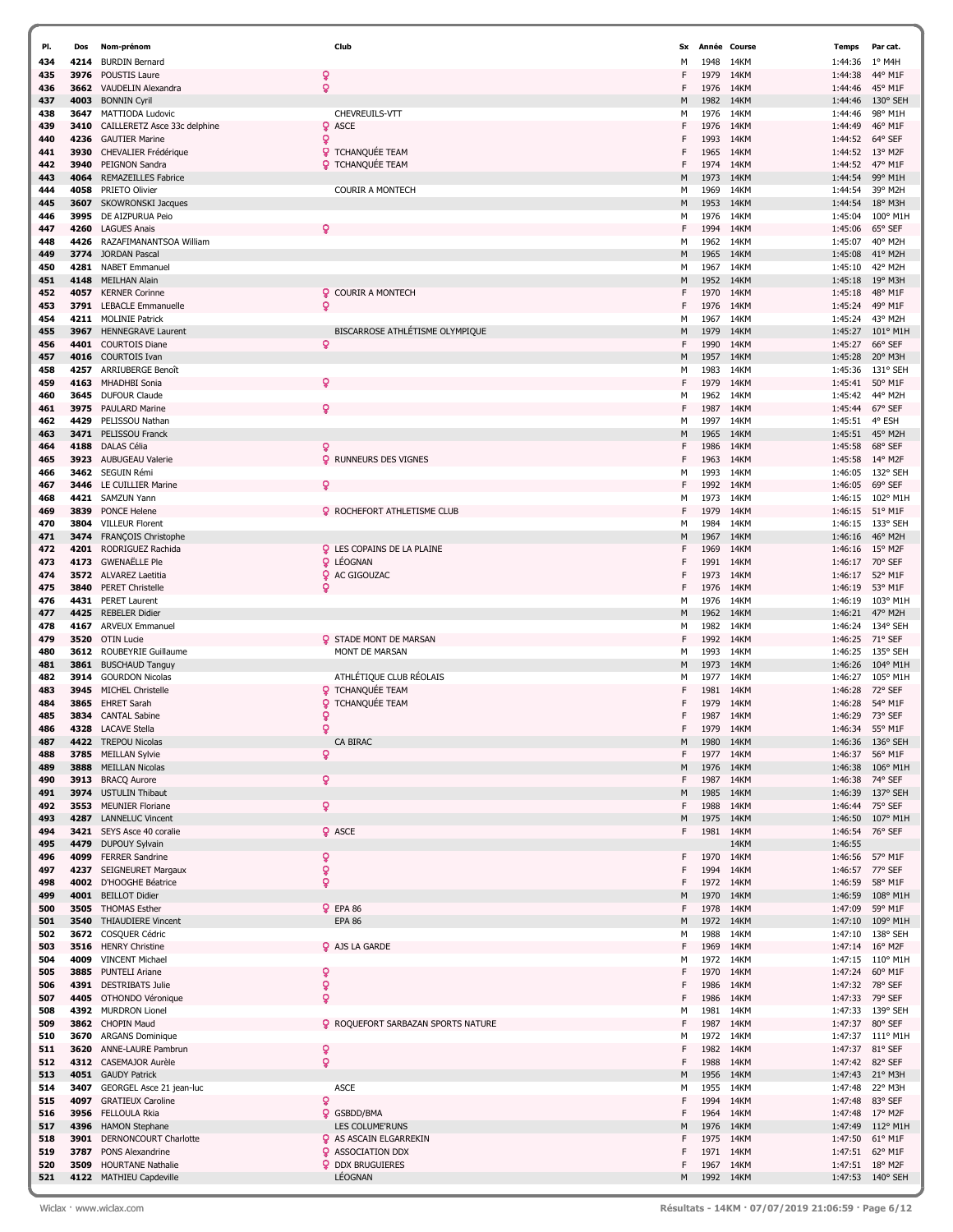| PI.        | Dos          | Nom-prénom                                     | Club                                                  | Sx     |              | Année Course | <b>Temps</b>       | Par cat.           |
|------------|--------------|------------------------------------------------|-------------------------------------------------------|--------|--------------|--------------|--------------------|--------------------|
| 434        | 4214         | <b>BURDIN Bernard</b>                          |                                                       | М      | 1948         | 14KM         | 1:44:36            | $1^{\circ}$ M4H    |
| 435        | 3976         | POUSTIS Laure                                  | Q                                                     | F      | 1979         | 14KM         | 1:44:38            | 44° M1F            |
| 436        | 3662         | VAUDELIN Alexandra                             | ô                                                     | F      | 1976         | 14KM         | 1:44:46            | 45° M1F            |
| 437        | 4003         | <b>BONNIN Cyril</b>                            |                                                       | М      | 1982         | 14KM         | 1:44:46            | 130° SEH           |
| 438        | 3647         | MATTIODA Ludovic                               | CHEVREUILS-VTT                                        | М      | 1976         | 14KM         | 1:44:46            | 98° M1H            |
| 439        | 3410         | CAILLERETZ Asce 33c delphine                   | <b>Q</b> ASCE                                         | F      | 1976         | 14KM         | 1:44:49            | 46° M1F            |
| 440        | 4236         | <b>GAUTIER Marine</b>                          | ò                                                     | F      | 1993         | 14KM         | 1:44:52            | 64° SEF            |
| 441        | 3930         | CHEVALIER Frédérique                           | <b>Q</b> TCHANQUÉE TEAM                               | F      | 1965         | 14KM         | 1:44:52            | 13° M2F            |
| 442        | 3940         | PEIGNON Sandra                                 | <b>Q</b> TCHANQUÉE TEAM                               | F      | 1974         | 14KM         | 1:44:52            | 47° M1F            |
| 443        | 4064         | <b>REMAZEILLES Fabrice</b>                     |                                                       | М      | 1973         | 14KM         | 1:44:54            | 99° M1H            |
| 444        | 4058         | PRIETO Olivier                                 | <b>COURIR A MONTECH</b>                               | М      | 1969         | 14KM         | 1:44:54            | 39° M2H            |
| 445        | 3607         | <b>SKOWRONSKI Jacques</b>                      |                                                       | М      | 1953         | 14KM         | 1:44:54            | 18° M3H            |
| 446        | 3995         | DE AIZPURUA Peio                               |                                                       | М      | 1976         | 14KM         | 1:45:04            | 100° M1H           |
| 447        | 4260         | <b>LAGUES Anais</b>                            | Q                                                     | F      | 1994         | 14KM         | 1:45:06            | 65° SEF            |
| 448        | 4426         | RAZAFIMANANTSOA William                        |                                                       | М      | 1962         | 14KM         | 1:45:07            | 40° M2H            |
| 449        | 3774         | <b>JORDAN Pascal</b>                           |                                                       | М      | 1965         | 14KM         | 1:45:08            | 41° M2H            |
| 450        | 4281         | <b>NABET Emmanuel</b>                          |                                                       | M      | 1967         | 14KM         | 1:45:10            | 42° M2H            |
| 451        | 4148         | <b>MEILHAN Alain</b>                           |                                                       | M      | 1952         | 14KM         | 1:45:18            | 19° M3H            |
| 452        | 4057         | <b>KERNER Corinne</b>                          | <b>Q</b> COURIR A MONTECH                             | F      | 1970         | 14KM         | 1:45:18            | 48° M1F            |
| 453        | 3791         | <b>LEBACLE Emmanuelle</b>                      | Q.                                                    | F      | 1976         | 14KM         | 1:45:24            | 49° M1F            |
| 454        | 4211         | <b>MOLINIE Patrick</b>                         |                                                       | М      | 1967         | 14KM         | 1:45:24            | 43° M2H            |
| 455        | 3967         | <b>HENNEGRAVE Laurent</b>                      | BISCARROSE ATHLÉTISME OLYMPIQUE                       | М      | 1979         | 14KM         | 1:45:27            | 101° M1H           |
| 456        | 4401         | <b>COURTOIS Diane</b>                          | Q.                                                    | F      | 1990         | 14KM         | 1:45:27            | 66° SEF            |
| 457        | 4016         | <b>COURTOIS Ivan</b>                           |                                                       | М      | 1957         | 14KM         | 1:45:28            | 20° M3H            |
| 458        | 4257         | ARRIUBERGE Benoît                              |                                                       | М      | 1983         | 14KM         | 1:45:36            | 131° SEH           |
| 459        | 4163         | MHADHBI Sonia                                  | ō                                                     | F      | 1979         | 14KM         | 1:45:41            | 50° M1F            |
| 460        | 3645         | <b>DUFOUR Claude</b>                           |                                                       | М      | 1962         | 14KM         | 1:45:42            | 44° M2H            |
| 461        | 3975         | <b>PAULARD Marine</b>                          | ó                                                     | F      | 1987         | 14KM         | 1:45:44            | 67° SEF            |
| 462        | 4429         | PELISSOU Nathan                                |                                                       | М      | 1997         | 14KM         | 1:45:51            | 4° ESH             |
| 463        | 3471         | PELISSOU Franck                                |                                                       | М      | 1965         | 14KM         | 1:45:51            | 45° M2H            |
| 464        | 4188         | DALAS Célia                                    | ó                                                     | F      | 1986         | 14KM         | 1:45:58            | 68° SEF            |
| 465        | 3923         | <b>AUBUGEAU Valerie</b>                        | <b>Q</b> RUNNEURS DES VIGNES                          | F      | 1963         | 14KM         | 1:45:58            | 14° M2F            |
| 466        | 3462         | SEGUIN Rémi                                    |                                                       | М      | 1993         | 14KM         | 1:46:05            | 132° SEH           |
| 467        | 3446         | LE CUILLIER Marine                             | ò                                                     | F      | 1992         | 14KM         | 1:46:05            | 69° SEF            |
| 468        | 4421         | SAMZUN Yann                                    |                                                       | М      | 1973         | 14KM         | 1:46:15            | 102° M1H           |
| 469        | 3839         | <b>PONCE Helene</b>                            | <b>Q</b> ROCHEFORT ATHLETISME CLUB                    | F      | 1979         | 14KM         | 1:46:15            | 51° M1F            |
| 470        | 3804         | <b>VILLEUR Florent</b>                         |                                                       | M      | 1984         | 14KM         | 1:46:15            | 133° SEH           |
| 471        | 3474         | FRANÇOIS Christophe                            |                                                       | М      | 1967         | 14KM         | 1:46:16            | 46° M2H            |
| 472<br>473 | 4201<br>4173 | RODRIGUEZ Rachida<br><b>GWENAËLLE Ple</b>      | <b>Q</b> LES COPAINS DE LA PLAINE<br><b>Q</b> LÉOGNAN | F<br>F | 1969<br>1991 | 14KM<br>14KM | 1:46:16<br>1:46:17 | 15° M2F<br>70° SEF |
| 474        | 3572         | <b>ALVAREZ Laetitia</b>                        | <b>Q</b> AC GIGOUZAC                                  | F      | 1973         | 14KM         |                    | 52° M1F            |
| 475        | 3840         | <b>PERET Christelle</b>                        | Q                                                     | F      | 1976         | 14KM         | 1:46:17<br>1:46:19 | 53° M1F            |
| 476        | 4431         | <b>PERET Laurent</b>                           |                                                       | М      | 1976         | 14KM         | 1:46:19            | 103° M1H           |
| 477        | 4425         | <b>REBELER Didier</b>                          |                                                       | М      | 1962         | 14KM         | 1:46:21            | 47° M2H            |
| 478        | 4167         | <b>ARVEUX Emmanuel</b>                         |                                                       | М      | 1982         | 14KM         | 1:46:24            | 134° SEH           |
| 479        | 3520         | <b>OTIN Lucie</b>                              | <b>Q</b> STADE MONT DE MARSAN                         | F      | 1992         | 14KM         | 1:46:25            | 71° SEF            |
| 480        | 3612         | ROUBEYRIE Guillaume                            | MONT DE MARSAN                                        | M      | 1993         | 14KM         | 1:46:25            | 135° SEH           |
| 481        | 3861         | <b>BUSCHAUD Tanguy</b>                         |                                                       | М      | 1973         | 14KM         | 1:46:26            | 104° M1H           |
| 482        | 3914         | <b>GOURDON Nicolas</b>                         | ATHLÉTIQUE CLUB RÉOLAIS                               | М      | 1977         | 14KM         | 1:46:27            | 105° M1H           |
| 483        | 3945         | MICHEL Christelle                              | <b>Q</b> TCHANQUÉE TEAM                               | F      | 1981         | 14KM         | 1:46:28            | 72° SEF            |
| 484        | 3865         | <b>EHRET Sarah</b>                             | TCHANQUÉE TEAM<br>Q.                                  | F      | 1979         | 14KM         | 1:46:28            | 54° M1F            |
| 485        | 3834         | <b>CANTAL Sabine</b>                           | ò                                                     | F      | 1987         | 14KM         | 1:46:29            | 73° SEF            |
| 486        |              | 4328 LACAVE Stella                             | ò                                                     | F      | 1979         | 14KM         | 1:46:34            | 55° M1F            |
| 487        | 4422         | <b>TREPOU Nicolas</b>                          | CA BIRAC                                              | M      | 1980         | 14KM         | 1:46:36            | 136° SEH           |
| 488        |              | 3785 MEILLAN Sylvie                            | ò                                                     | F      | 1977         | 14KM         | 1:46:37            | 56° M1F            |
| 489        | 3888         | <b>MEILLAN Nicolas</b>                         |                                                       | M      | 1976         | 14KM         | 1:46:38            | 106° M1H           |
| 490        | 3913         | <b>BRACQ Aurore</b>                            | ò.                                                    | F      | 1987         | 14KM         | 1:46:38            | 74° SEF            |
| 491        | 3974         | <b>USTULIN Thibaut</b>                         |                                                       | M      | 1985         | 14KM         | 1:46:39            | 137° SEH           |
| 492        | 3553         | <b>MEUNIER Floriane</b>                        | ó.                                                    | F      | 1988         | 14KM         | 1:46:44            | 75° SEF            |
| 493        | 4287         | <b>LANNELUC Vincent</b>                        |                                                       | М      | 1975         | 14KM         | 1:46:50            | 107° M1H           |
| 494        |              | 3421 SEYS Asce 40 coralie                      | <b>Q</b> ASCE                                         | F      | 1981         | 14KM         | 1:46:54            | 76° SEF            |
| 495        | 4479         | <b>DUPOUY Sylvain</b>                          |                                                       |        |              | 14KM         | 1:46:55            |                    |
| 496        |              | 4099 FERRER Sandrine                           | ò                                                     | F<br>F | 1970<br>1994 | 14KM<br>14KM | 1:46:56            | 57° M1F            |
| 497<br>498 | 4237<br>4002 | <b>SEIGNEURET Margaux</b><br>D'HOOGHE Béatrice | ò<br>ò                                                | F      | 1972         | 14KM         | 1:46:57<br>1:46:59 | 77° SEF<br>58° M1F |
| 499        | 4001         | <b>BEILLOT Didier</b>                          |                                                       | M      | 1970         | 14KM         | 1:46:59            | 108° M1H           |
| 500        | 3505         | <b>THOMAS Esther</b>                           | <b>Q</b> EPA 86                                       | F      | 1978         | 14KM         | 1:47:09            | 59° M1F            |
| 501        | 3540         | <b>THIAUDIERE Vincent</b>                      | <b>EPA 86</b>                                         | М      | 1972         | 14KM         | 1:47:10            | 109° M1H           |
| 502        |              | 3672 COSQUER Cédric                            |                                                       | м      | 1988         | 14KM         | 1:47:10            | 138° SEH           |
| 503        | 3516         | <b>HENRY Christine</b>                         | <b>Q</b> AJS LA GARDE                                 | F      | 1969         | 14KM         | 1:47:14            | $16^{\circ}$ M2F   |
| 504        | 4009         | <b>VINCENT Michael</b>                         |                                                       | м      | 1972         | 14KM         | 1:47:15            | $110^{\circ}$ M1H  |
| 505        | 3885         | <b>PUNTELI Ariane</b>                          | Q                                                     | F      | 1970         | 14KM         | 1:47:24            | 60° M1F            |
| 506        | 4391         | <b>DESTRIBATS Julie</b>                        | ò                                                     | F      | 1986         | 14KM         | 1:47:32            | 78° SEF            |
| 507        | 4405         | OTHONDO Véronique                              | ò                                                     | F      | 1986         | 14KM         | 1:47:33            | 79° SEF            |
| 508        |              | 4392 MURDRON Lionel                            |                                                       | М      | 1981         | 14KM         | 1:47:33            | 139° SEH           |
| 509        |              | 3862 CHOPIN Maud                               | <b>Q</b> ROQUEFORT SARBAZAN SPORTS NATURE             | F      | 1987         | 14KM         | 1:47:37            | 80° SEF            |
| 510        | 3670         | <b>ARGANS Dominique</b>                        |                                                       | м      | 1972         | 14KM         | 1:47:37            | 111° M1H           |
| 511        | 3620         | ANNE-LAURE Pambrun                             | ò                                                     | F      | 1982         | 14KM         | 1:47:37            | 81° SEF            |
| 512        |              | 4312 CASEMAJOR Aurèle                          | ò                                                     | F      | 1988         | 14KM         | 1:47:42            | 82° SEF            |
| 513        |              | 4051 GAUDY Patrick                             |                                                       | М      | 1956         | 14KM         | 1:47:43            | 21° M3H            |
| 514        | 3407         | GEORGEL Asce 21 jean-luc                       | <b>ASCE</b>                                           | м      | 1955         | 14KM         | 1:47:48            | 22° M3H            |
| 515        | 4097         | <b>GRATIEUX Caroline</b>                       | ò                                                     | F      | 1994         | 14KM         | 1:47:48            | 83° SEF            |
| 516        |              | 3956 FELLOULA Rkia                             | <b>Q</b> GSBDD/BMA                                    | F      | 1964         | 14KM         | 1:47:48            | 17° M2F            |
| 517        | 4396         | <b>HAMON Stephane</b>                          | LES COLUME'RUNS                                       | М      | 1976         | 14KM         | 1:47:49            | $112^{\circ}$ M1H  |
| 518        | 3901         | DERNONCOURT Charlotte                          | <b>Q</b> AS ASCAIN ELGARREKIN                         | F      | 1975         | 14KM         | 1:47:50            | 61° M1F            |
| 519        | 3787         | PONS Alexandrine                               | <b>Q</b> ASSOCIATION DDX                              | F      | 1971         | 14KM         | 1:47:51            | 62° M1F            |
| 520        | 3509         | <b>HOURTANE Nathalie</b>                       | <b>Q</b> DDX BRUGUIERES                               | F      | 1967         | 14KM         | 1:47:51            | $18^{\circ}$ M2F   |
| 521        |              | 4122 MATHIEU Capdeville                        | LÉOGNAN                                               | М      | 1992 14KM    |              | 1:47:53            | $140^{\circ}$ SEH  |

7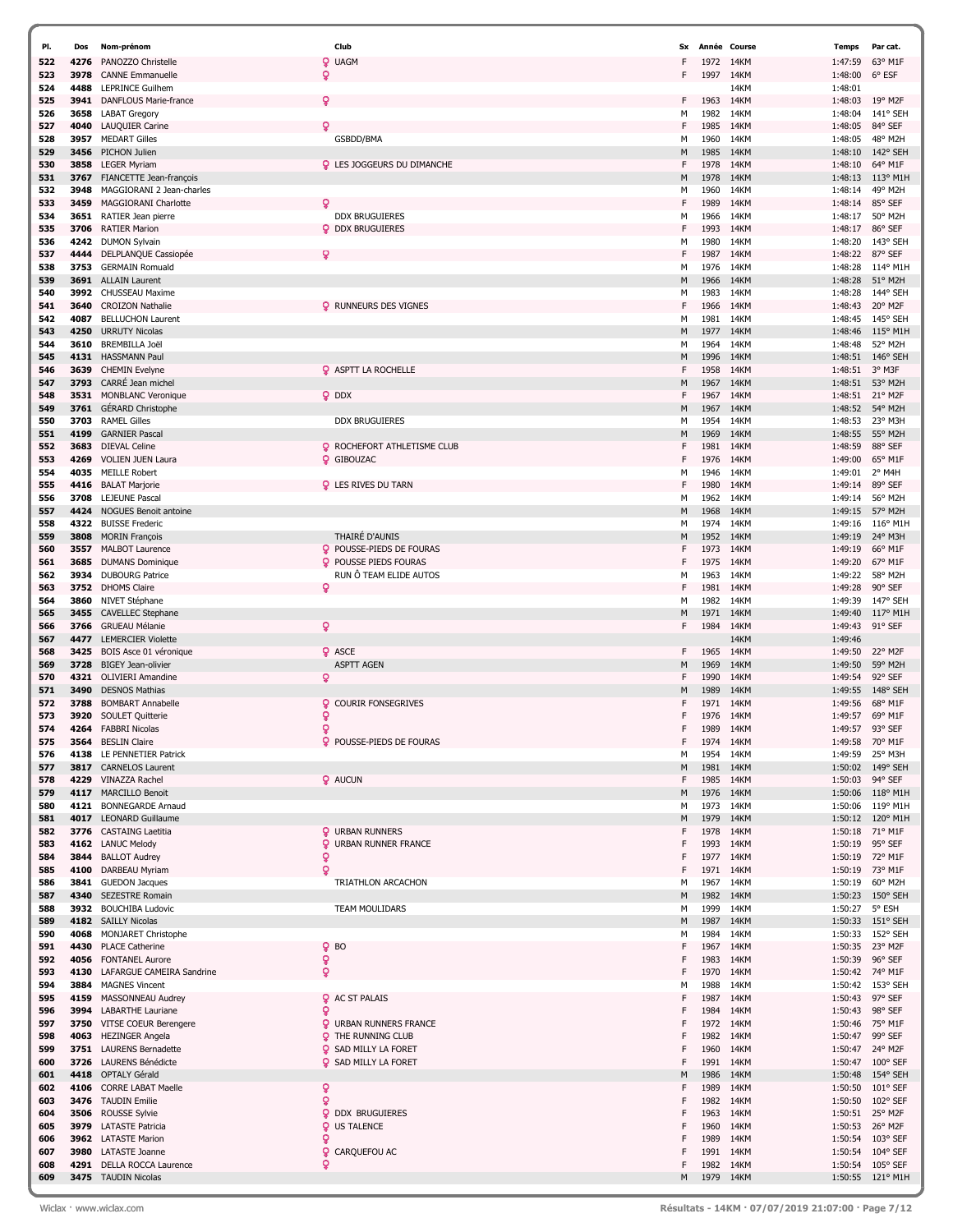| PI.        | Dos          | Nom-prénom                                          | Club                                                     | Sx     |              | Année Course | Temps              | Par cat.                   |
|------------|--------------|-----------------------------------------------------|----------------------------------------------------------|--------|--------------|--------------|--------------------|----------------------------|
| 522        | 4276         | PANOZZO Christelle                                  | <u>Q</u><br><b>UAGM</b>                                  | F      | 1972         | 14KM         | 1:47:59            | 63° M1F                    |
| 523        | 3978         | <b>CANNE Emmanuelle</b>                             | ö                                                        | F      | 1997         | 14KM         | 1:48:00            | 6° ESF                     |
| 524        | 4488         | <b>LEPRINCE Guilhem</b>                             |                                                          |        |              | 14KM         | 1:48:01            |                            |
| 525        | 3941         | DANFLOUS Marie-france                               | Q                                                        | F      | 1963         | 14KM         | 1:48:03            | 19° M2F                    |
| 526        | 3658<br>4040 | <b>LABAT Gregory</b>                                | ç                                                        | М<br>F | 1982<br>1985 | 14KM<br>14KM | 1:48:04            | 141° SEH<br>84° SEF        |
| 527<br>528 | 3957         | LAUQUIER Carine<br><b>MEDART Gilles</b>             | GSBDD/BMA                                                | м      | 1960         | 14KM         | 1:48:05<br>1:48:05 | 48° M2H                    |
| 529        | 3456         | PICHON Julien                                       |                                                          | M      | 1985         | 14KM         | 1:48:10            | 142° SEH                   |
| 530        | 3858         | <b>LEGER Myriam</b>                                 | <b>Q</b> LES JOGGEURS DU DIMANCHE                        | F      | 1978         | 14KM         | 1:48:10            | 64° M1F                    |
| 531        | 3767         | FIANCETTE Jean-françois                             |                                                          | M      | 1978         | 14KM         | 1:48:13            | 113° M1H                   |
| 532        | 3948         | MAGGIORANI 2 Jean-charles                           |                                                          | м      | 1960         | 14KM         | 1:48:14            | 49° M2H                    |
| 533        | 3459         | MAGGIORANI Charlotte                                | δ<br><b>DDX BRUGUIERES</b>                               | F      | 1989         | 14KM         | 1:48:14            | 85° SEF                    |
| 534<br>535 | 3651<br>3706 | RATIER Jean pierre<br><b>RATIER Marion</b>          | <b>Q</b> DDX BRUGUIERES                                  | м<br>F | 1966<br>1993 | 14KM<br>14KM | 1:48:17<br>1:48:17 | 50° M2H<br>86° SEF         |
| 536        | 4242         | <b>DUMON Sylvain</b>                                |                                                          | м      | 1980         | 14KM         | 1:48:20            | 143° SEH                   |
| 537        | 4444         | DELPLANQUE Cassiopée                                |                                                          | F      | 1987         | 14KM         | 1:48:22            | 87° SEF                    |
| 538        | 3753         | <b>GERMAIN Romuald</b>                              |                                                          | м      | 1976         | 14KM         | 1:48:28            | 114° M1H                   |
| 539        | 3691         | <b>ALLAIN Laurent</b>                               |                                                          | M      | 1966         | 14KM         | 1:48:28            | 51° M2H                    |
| 540<br>541 | 3992<br>3640 | CHUSSEAU Maxime<br><b>CROIZON Nathalie</b>          | <b>Q</b> RUNNEURS DES VIGNES                             | м<br>F | 1983<br>1966 | 14KM<br>14KM | 1:48:28<br>1:48:43 | 144° SEH<br>20° M2F        |
| 542        | 4087         | <b>BELLUCHON Laurent</b>                            |                                                          | м      | 1981         | 14KM         | 1:48:45            | 145° SEH                   |
| 543        | 4250         | <b>URRUTY Nicolas</b>                               |                                                          | M      | 1977         | 14KM         | 1:48:46            | $115^{\circ}$ M1H          |
| 544        | 3610         | <b>BREMBILLA Joël</b>                               |                                                          | м      | 1964         | 14KM         | 1:48:48            | 52° M2H                    |
| 545        | 4131         | <b>HASSMANN Paul</b>                                |                                                          | M      | 1996         | 14KM         | 1:48:51            | 146° SEH                   |
| 546        | 3639         | <b>CHEMIN Evelyne</b>                               | <b>Q</b> ASPTT LA ROCHELLE                               | F      | 1958         | 14KM         | 1:48:51            | 3° M3F                     |
| 547<br>548 | 3793<br>3531 | CARRÉ Jean michel<br><b>MONBLANC Veronique</b>      | <b>Q</b> DDX                                             | M<br>F | 1967<br>1967 | 14KM<br>14KM | 1:48:51<br>1:48:51 | 53° M2H<br>21° M2F         |
| 549        | 3761         | <b>GÉRARD Christophe</b>                            |                                                          | М      | 1967         | 14KM         | 1:48:52            | 54° M2H                    |
| 550        | 3703         | <b>RAMEL Gilles</b>                                 | <b>DDX BRUGUIERES</b>                                    | м      | 1954         | 14KM         | 1:48:53            | 23° M3H                    |
| 551        | 4199         | <b>GARNIER Pascal</b>                               |                                                          | M      | 1969         | 14KM         | 1:48:55            | 55° M2H                    |
| 552        | 3683         | <b>DIEVAL Celine</b>                                | <b>Q</b> ROCHEFORT ATHLETISME CLUB                       | F      | 1981         | 14KM         | 1:48:59            | 88° SEF                    |
| 553        | 4269         | <b>VOLIEN JUEN Laura</b><br><b>MEILLE Robert</b>    | <b>Q</b> GIBOUZAC                                        | F      | 1976         | 14KM         | 1:49:00            | 65° M1F                    |
| 554<br>555 | 4035<br>4416 | <b>BALAT Marjorie</b>                               | <b>Q</b> LES RIVES DU TARN                               | м<br>F | 1946<br>1980 | 14KM<br>14KM | 1:49:01<br>1:49:14 | 2° M4H<br>89° SEF          |
| 556        | 3708         | <b>LEJEUNE Pascal</b>                               |                                                          | М      | 1962         | 14KM         | 1:49:14            | 56° M2H                    |
| 557        | 4424         | NOGUES Benoit antoine                               |                                                          | M      | 1968         | 14KM         | 1:49:15            | 57° M2H                    |
| 558        | 4322         | <b>BUISSE Frederic</b>                              |                                                          | м      | 1974         | 14KM         | 1:49:16            | $116^{\circ}$ M1H          |
| 559        | 3808         | <b>MORIN François</b>                               | THAIRÉ D'AUNIS                                           | M      | 1952         | 14KM         | 1:49:19            | 24° M3H                    |
| 560<br>561 | 3557<br>3685 | <b>MALBOT Laurence</b><br><b>DUMANS Dominique</b>   | POUSSE-PIEDS DE FOURAS<br>Q<br>POUSSE PIEDS FOURAS       | F<br>F | 1973<br>1975 | 14KM<br>14KM | 1:49:19<br>1:49:20 | 66° M1F<br>67° M1F         |
| 562        | 3934         | <b>DUBOURG Patrice</b>                              | RUN Ô TEAM ELIDE AUTOS                                   | м      | 1963         | 14KM         | 1:49:22            | 58° M2H                    |
| 563        | 3752         | <b>DHOMS Claire</b>                                 | Q                                                        | F      | 1981         | 14KM         | 1:49:28            | 90° SEF                    |
| 564        | 3860         | NIVET Stéphane                                      |                                                          | М      | 1982         | 14KM         | 1:49:39            | 147° SEH                   |
| 565        | 3455         | <b>CAVELLEC Stephane</b>                            |                                                          | М      | 1971         | 14KM         | 1:49:40            | 117° M1H                   |
| 566        | 3766         | <b>GRUEAU Mélanie</b>                               | $\mathbf Q$                                              | F      | 1984         | 14KM         | 1:49:43            | 91° SEF                    |
| 567<br>568 | 4477<br>3425 | <b>LEMERCIER Violette</b><br>BOIS Asce 01 véronique | <b>Q</b> ASCE                                            | F      | 1965         | 14KM<br>14KM | 1:49:46<br>1:49:50 | 22° M2F                    |
| 569        | 3728         | <b>BIGEY Jean-olivier</b>                           | <b>ASPTT AGEN</b>                                        | М      | 1969         | 14KM         | 1:49:50            | 59° M2H                    |
| 570        | 4321         | <b>OLIVIERI Amandine</b>                            | Q                                                        | F      | 1990         | 14KM         | 1:49:54            | 92° SEF                    |
| 571        | 3490         | <b>DESNOS Mathias</b>                               |                                                          | м      | 1989         | 14KM         | 1:49:55            | 148° SEH                   |
| 572        | 3788         | <b>BOMBART Annabelle</b>                            | <b>COURIR FONSEGRIVES</b><br>Q.                          | F      | 1971         | 14KM         | 1:49:56            | 68° M1F                    |
| 573<br>574 | 3920         | SOULET Quitterie<br>4264 FABBRI Nicolas             | ò<br>$\mathbf{Q}$                                        | F<br>F | 1976<br>1989 | 14KM<br>14KM | 1:49:57<br>1:49:57 | 69° M1F<br>93° SEF         |
| 575        | 3564         | <b>BESLIN Claire</b>                                | <b>Q</b> POUSSE-PIEDS DE FOURAS                          | F      | 1974         | 14KM         | 1:49:58            | 70° M1F                    |
| 576        | 4138         | LE PENNETIER Patrick                                |                                                          | м      | 1954         | 14KM         | 1:49:59            | 25° M3H                    |
| 577        | 3817         | <b>CARNELOS Laurent</b>                             |                                                          | М      | 1981         | 14KM         | 1:50:02            | 149° SEH                   |
| 578        | 4229         | VINAZZA Rachel                                      | <b>Q</b> AUCUN                                           | F      | 1985         | 14KM         | 1:50:03            | 94° SEF                    |
| 579<br>580 | 4117<br>4121 | <b>MARCILLO Benoit</b><br><b>BONNEGARDE Arnaud</b>  |                                                          | М<br>м | 1976<br>1973 | 14KM<br>14KM | 1:50:06<br>1:50:06 | 118° M1H<br>119° M1H       |
| 581        | 4017         | <b>LEONARD Guillaume</b>                            |                                                          | М      | 1979         | 14KM         | 1:50:12            | 120° M1H                   |
| 582        | 3776         | <b>CASTAING Laetitia</b>                            | <b>Q</b> URBAN RUNNERS                                   | F      | 1978         | 14KM         | 1:50:18            | 71° M1F                    |
| 583        | 4162         | <b>LANUC Melody</b>                                 | Q<br>URBAN RUNNER FRANCE                                 | F      | 1993         | 14KM         | 1:50:19            | 95° SEF                    |
| 584        | 3844         | <b>BALLOT Audrey</b>                                | Q                                                        | F      | 1977         | 14KM         | 1:50:19            | 72° M1F                    |
| 585<br>586 | 4100         | DARBEAU Myriam<br>3841 GUEDON Jacques               | ò<br>TRIATHLON ARCACHON                                  | F<br>м | 1971<br>1967 | 14KM<br>14KM | 1:50:19<br>1:50:19 | 73° M1F<br>60° M2H         |
| 587        | 4340         | <b>SEZESTRE Romain</b>                              |                                                          | М      | 1982         | 14KM         | 1:50:23            | 150° SEH                   |
| 588        | 3932         | <b>BOUCHIBA Ludovic</b>                             | <b>TEAM MOULIDARS</b>                                    | м      | 1999         | 14KM         | 1:50:27 5° ESH     |                            |
| 589        |              | 4182 SAILLY Nicolas                                 |                                                          | M      | 1987         | 14KM         |                    | 1:50:33 151° SEH           |
| 590        | 4068         | <b>MONJARET Christophe</b>                          |                                                          | м      | 1984         | 14KM         | 1:50:33            | 152° SEH                   |
| 591        | 4430         | <b>PLACE Catherine</b>                              | ò<br><b>BO</b>                                           | F<br>F | 1967         | 14KM         | 1:50:35            | 23° M2F                    |
| 592<br>593 | 4056<br>4130 | <b>FONTANEL Aurore</b><br>LAFARGUE CAMEIRA Sandrine | ò<br>ð                                                   | F      | 1983<br>1970 | 14KM<br>14KM | 1:50:39<br>1:50:42 | 96° SEF<br>74° M1F         |
| 594        | 3884         | <b>MAGNES Vincent</b>                               |                                                          | М      | 1988         | 14KM         | 1:50:42            | 153° SEH                   |
| 595        | 4159         | MASSONNEAU Audrey                                   | <b>Q</b> AC ST PALAIS                                    | F      | 1987         | 14KM         | 1:50:43            | 97° SEF                    |
| 596        | 3994         | <b>LABARTHE Lauriane</b>                            | Q                                                        | F      | 1984         | 14KM         | 1:50:43            | 98° SEF                    |
| 597        | 3750         | VITSE COEUR Berengere                               | <b>Q</b> URBAN RUNNERS FRANCE                            | F      | 1972         | 14KM         | 1:50:46            | 75° M1F                    |
| 598<br>599 | 4063         | <b>HEZINGER Angela</b><br>3751 LAURENS Bernadette   | <b>Q</b> THE RUNNING CLUB<br><b>Q</b> SAD MILLY LA FORET | F<br>F | 1982<br>1960 | 14KM<br>14KM | 1:50:47            | 99° SEF<br>1:50:47 24° M2F |
| 600        | 3726         | LAURENS Bénédicte                                   | <b>Q</b> SAD MILLY LA FORET                              | F      | 1991         | 14KM         | 1:50:47            | 100° SEF                   |
| 601        | 4418         | <b>OPTALY Gérald</b>                                |                                                          | М      | 1986         | 14KM         | 1:50:48            | 154° SEH                   |
| 602        | 4106         | <b>CORRE LABAT Maelle</b>                           | Q                                                        | F      | 1989         | 14KM         | 1:50:50            | $101^{\circ}$ SEF          |
| 603        | 3476         | <b>TAUDIN Emilie</b>                                | ó                                                        |        | 1982         | 14KM         | 1:50:50            | 102° SEF                   |
| 604        | 3506         | ROUSSE Sylvie                                       | Q<br><b>DDX BRUGUIERES</b>                               | F<br>F | 1963         | 14KM         | 1:50:51            | 25° M2F                    |
| 605<br>606 |              | 3979 LATASTE Patricia<br>3962 LATASTE Marion        | <b>Q</b> US TALENCE<br>ö                                 | F      | 1960<br>1989 | 14KM<br>14KM | 1:50:53<br>1:50:54 | 26° M2F<br>103° SEF        |
| 607        | 3980         | LATASTE Joanne                                      | ò<br>CARQUEFOU AC                                        | F      | 1991         | 14KM         | 1:50:54            | $104^{\circ}$ SEF          |
| 608        | 4291         | DELLA ROCCA Laurence                                | Q                                                        | F      | 1982         | 14KM         | 1:50:54            | 105° SEF                   |
| 609        |              | 3475 TAUDIN Nicolas                                 |                                                          | M      | 1979         | 14KM         |                    | 1:50:55 121° M1H           |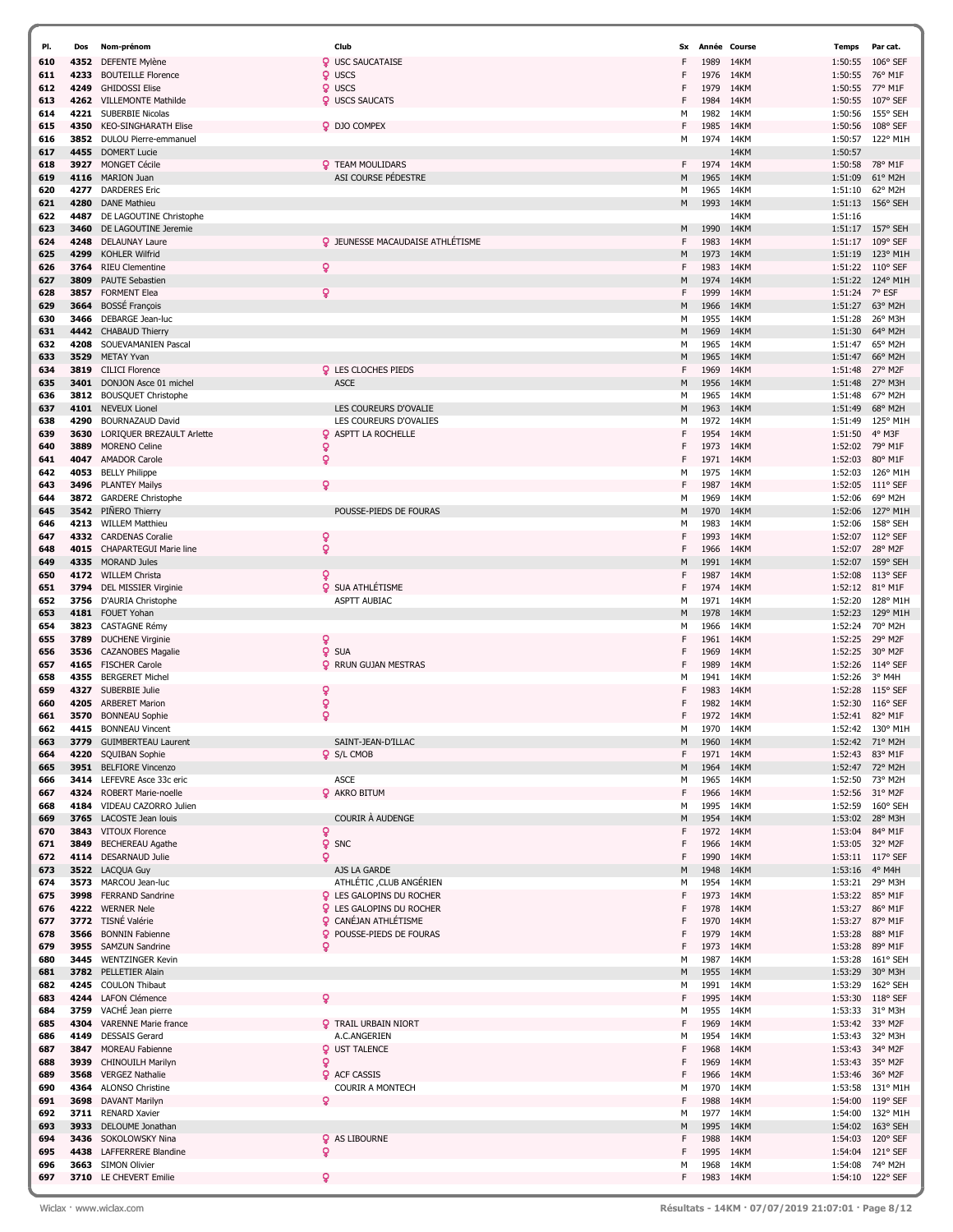| PI.        | Dos          | Nom-prénom                                          | Club                                    | Sx     |              | Année Course | Temps              | Par cat.                      |
|------------|--------------|-----------------------------------------------------|-----------------------------------------|--------|--------------|--------------|--------------------|-------------------------------|
| 610        | 4352         | DEFENTE Mylène                                      | <b>Q</b> USC SAUCATAISE                 | F      | 1989         | 14KM         | 1:50:55            | 106° SEF                      |
| 611        | 4233         | <b>BOUTEILLE Florence</b>                           | <b>Q</b> USCS                           | F      | 1976         | 14KM         | 1:50:55            | 76° M1F                       |
| 612        | 4249         | <b>GHIDOSSI Elise</b>                               | <b>Q</b> USCS                           | F      | 1979         | 14KM         | 1:50:55            | 77° M1F                       |
| 613        | 4262         | <b>VILLEMONTE Mathilde</b>                          | <b>Q</b> USCS SAUCATS                   | F      | 1984         | 14KM         | 1:50:55            | 107° SEF                      |
| 614        | 4221         | <b>SUBERBIE Nicolas</b>                             |                                         | М      | 1982         | 14KM         | 1:50:56            | 155° SEH                      |
| 615        | 4350         | <b>KEO-SINGHARATH Elise</b>                         | <b>Q</b> DJO COMPEX                     | F      | 1985         | 14KM         | 1:50:56            | 108° SEF                      |
| 616        | 3852         | DULOU Pierre-emmanuel                               |                                         | м      | 1974         | 14KM         | 1:50:57            | 122° M1H                      |
| 617<br>618 | 4455<br>3927 | <b>DOMERT Lucie</b><br><b>MONGET Cécile</b>         | <b>Q</b> TEAM MOULIDARS                 | F      | 1974         | 14KM<br>14KM | 1:50:57<br>1:50:58 | 78° M1F                       |
| 619        | 4116         | <b>MARION Juan</b>                                  | ASI COURSE PÉDESTRE                     | M      | 1965         | 14KM         | 1:51:09            | 61° M2H                       |
| 620        | 4277         | <b>DARDERES</b> Eric                                |                                         | М      | 1965         | 14KM         | 1:51:10            | 62° M2H                       |
| 621        | 4280         | <b>DANE Mathieu</b>                                 |                                         | M      | 1993         | 14KM         | 1:51:13            | 156° SEH                      |
| 622        | 4487         | DE LAGOUTINE Christophe                             |                                         |        |              | 14KM         | 1:51:16            |                               |
| 623        | 3460         | DE LAGOUTINE Jeremie                                |                                         | M      | 1990         | 14KM         | 1:51:17            | 157° SEH                      |
| 624        | 4248         | <b>DELAUNAY Laure</b>                               | <b>Q</b> JEUNESSE MACAUDAISE ATHLÉTISME | F      | 1983         | 14KM         | 1:51:17            | 109° SEF                      |
| 625        | 4299         | <b>KOHLER Wilfrid</b>                               |                                         | M      | 1973         | 14KM         | 1:51:19            | 123° M1H                      |
| 626        | 3764         | <b>RIEU Clementine</b>                              | $\mathbf{Q}$                            | F      | 1983         | 14KM         | 1:51:22            | $110^{\circ}$ SEF             |
| 627        | 3809         | <b>PAUTE Sebastien</b>                              |                                         | M      | 1974         | 14KM         | 1:51:22            | 124° M1H                      |
| 628        | 3857         | <b>FORMENT Elea</b>                                 | $\mathsf{Q}$                            | F      | 1999         | 14KM         | 1:51:24            | 7° ESF                        |
| 629<br>630 | 3664<br>3466 | <b>BOSSÉ François</b><br>DEBARGE Jean-luc           |                                         | M<br>м | 1966<br>1955 | 14KM<br>14KM | 1:51:27<br>1:51:28 | 63° M2H<br>26° M3H            |
| 631        | 4442         | <b>CHABAUD Thierry</b>                              |                                         | M      | 1969         | 14KM         | 1:51:30            | 64° M2H                       |
| 632        | 4208         | SOUEVAMANIEN Pascal                                 |                                         | М      | 1965         | 14KM         | 1:51:47            | 65° M2H                       |
| 633        | 3529         | METAY Yvan                                          |                                         | M      | 1965         | 14KM         | 1:51:47            | 66° M2H                       |
| 634        | 3819         | <b>CILICI Florence</b>                              | <b>Q</b> LES CLOCHES PIEDS              | F      | 1969         | 14KM         | 1:51:48            | 27° M2F                       |
| 635        | 3401         | DONJON Asce 01 michel                               | <b>ASCE</b>                             | М      | 1956         | 14KM         | 1:51:48            | 27° M3H                       |
| 636        | 3812         | <b>BOUSQUET Christophe</b>                          |                                         | М      | 1965         | 14KM         | 1:51:48            | 67° M2H                       |
| 637        | 4101         | <b>NEVEUX Lionel</b>                                | LES COUREURS D'OVALIE                   | M      | 1963         | 14KM         | 1:51:49            | 68° M2H                       |
| 638        | 4290         | <b>BOURNAZAUD David</b>                             | LES COUREURS D'OVALIES                  | М      | 1972         | 14KM         | 1:51:49            | 125° M1H                      |
| 639        | 3630         | LORIQUER BREZAULT Arlette                           | <b>Q</b> ASPTT LA ROCHELLE              | F      | 1954         | 14KM         | 1:51:50            | 4° M3F                        |
| 640<br>641 | 3889<br>4047 | <b>MORENO Celine</b><br><b>AMADOR Carole</b>        | ò<br>Ō                                  | F<br>F | 1973<br>1971 | 14KM<br>14KM | 1:52:02<br>1:52:03 | 79° M1F<br>80° M1F            |
| 642        | 4053         | <b>BELLY Philippe</b>                               |                                         | М      | 1975         | 14KM         | 1:52:03            | 126° M1H                      |
| 643        | 3496         | <b>PLANTEY Mailys</b>                               | Q                                       | F      | 1987         | 14KM         | 1:52:05            | $111^{\circ}$ SEF             |
| 644        | 3872         | <b>GARDERE Christophe</b>                           |                                         | м      | 1969         | 14KM         | 1:52:06            | 69° M2H                       |
| 645        | 3542         | PIÑERO Thierry                                      | POUSSE-PIEDS DE FOURAS                  | M      | 1970         | 14KM         | 1:52:06            | 127° M1H                      |
| 646        | 4213         | <b>WILLEM Matthieu</b>                              |                                         | М      | 1983         | 14KM         | 1:52:06            | 158° SEH                      |
| 647        |              | 4332 CARDENAS Coralie                               | ò                                       | F      | 1993         | 14KM         | 1:52:07            | $112^{\circ}$ SEF             |
| 648        | 4015         | <b>CHAPARTEGUI Marie line</b>                       | ò                                       | F      | 1966         | 14KM         | 1:52:07            | 28° M2F                       |
| 649        | 4335         | <b>MORAND Jules</b>                                 |                                         | М      | 1991         | 14KM         | 1:52:07            | 159° SEH                      |
| 650        |              | 4172 WILLEM Christa                                 | Q                                       | F      | 1987         | 14KM         | 1:52:08            | $113°$ SEF                    |
| 651        | 3794         | <b>DEL MISSIER Virginie</b>                         | <b>Q</b> SUA ATHLÉTISME                 | F      | 1974         | 14KM         | 1:52:12            | 81° M1F                       |
| 652<br>653 | 3756<br>4181 | D'AURIA Christophe<br>FOUET Yohan                   | <b>ASPTT AUBIAC</b>                     | М<br>M | 1971<br>1978 | 14KM<br>14KM | 1:52:20<br>1:52:23 | 128° M1H<br>129° M1H          |
| 654        | 3823         | <b>CASTAGNE Rémy</b>                                |                                         | М      | 1966         | 14KM         | 1:52:24            | 70° M2H                       |
| 655        | 3789         | <b>DUCHENE Virginie</b>                             | ò                                       | F      | 1961         | 14KM         | 1:52:25            | 29° M2F                       |
| 656        | 3536         | <b>CAZANOBES Magalie</b>                            | <b>Q</b> SUA                            | F      | 1969         | 14KM         | 1:52:25            | 30° M2F                       |
| 657        | 4165         | <b>FISCHER Carole</b>                               | <b>Q</b> RRUN GUJAN MESTRAS             | F      | 1989         | 14KM         | 1:52:26            | $114^{\circ}$ SEF             |
| 658        | 4355         | <b>BERGERET Michel</b>                              |                                         | М      | 1941         | 14KM         | 1:52:26            | 3° M4H                        |
| 659        | 4327         | SUBERBIE Julie                                      | ò                                       | F      | 1983         | 14KM         | 1:52:28            | $115^{\circ}$ SEF             |
| 660        | 4205         | <b>ARBERET Marion</b>                               | ò                                       | F      | 1982         | 14KM         | 1:52:30            | $116^{\circ}$ SEF             |
| 661        | 3570         | <b>BONNEAU Sophie</b>                               | ò                                       | F      | 1972         | 14KM         | 1:52:41            | 82° M1F                       |
| 662        |              | 4415 BONNEAU Vincent                                | SAINT-JEAN-D'ILLAC                      | М      | 1970         | 14KM         | 1:52:42            | 130° M1H                      |
| 663<br>664 | 3779<br>4220 | <b>GUIMBERTEAU Laurent</b><br><b>SQUIBAN Sophie</b> | <b>Q</b> S/L CMOB                       | M<br>F | 1960<br>1971 | 14KM<br>14KM | 1:52:42<br>1:52:43 | 71° M2H<br>83° M1F            |
| 665        |              | 3951 BELFIORE Vincenzo                              |                                         | M      | 1964         | 14KM         | 1:52:47            | 72° M2H                       |
| 666        |              | 3414 LEFEVRE Asce 33c eric                          | <b>ASCE</b>                             | М      | 1965         | 14KM         | 1:52:50            | 73° M2H                       |
| 667        | 4324         | <b>ROBERT Marie-noelle</b>                          | <b>Q</b> AKRO BITUM                     | F      | 1966         | 14KM         | 1:52:56            | 31° M2F                       |
| 668        | 4184         | VIDEAU CAZORRO Julien                               |                                         | м      | 1995         | 14KM         | 1:52:59            | 160° SEH                      |
| 669        | 3765         | LACOSTE Jean louis                                  | COURIR À AUDENGE                        | М      | 1954         | 14KM         | 1:53:02            | 28° M3H                       |
| 670        | 3843         | <b>VITOUX Florence</b>                              | ò                                       | F      | 1972         | 14KM         | 1:53:04            | 84° M1F                       |
| 671        | 3849         | <b>BECHEREAU Agathe</b>                             | <b>Q</b> SNC                            | F      | 1966         | 14KM         | 1:53:05            | 32° M2F                       |
| 672<br>673 | 4114         | DESARNAUD Julie<br>3522 LACQUA Guy                  | Q<br>AJS LA GARDE                       | F<br>М | 1990<br>1948 | 14KM<br>14KM | 1:53:11<br>1:53:16 | 117° SEF<br>4° M4H            |
| 674        |              | 3573 MARCOU Jean-luc                                | ATHLÉTIC , CLUB ANGÉRIEN                | М      | 1954         | 14KM         | 1:53:21            | 29° M3H                       |
| 675        | 3998         | <b>FERRAND Sandrine</b>                             | <b>Q</b> LES GALOPINS DU ROCHER         | F      | 1973         | 14KM         | 1:53:22            | 85° M1F                       |
| 676        |              | 4222 WERNER Nele                                    | <b>Q</b> LES GALOPINS DU ROCHER         | F      | 1978         | 14KM         | 1:53:27            | 86° M1F                       |
| 677        |              | 3772 TISNÉ Valérie                                  | <b>Q</b> CANÉJAN ATHLÉTISME             | F      | 1970         | 14KM         | 1:53:27            | 87° M1F                       |
| 678        | 3566         | <b>BONNIN Fabienne</b>                              | <b>Q</b> POUSSE-PIEDS DE FOURAS         | F      | 1979         | 14KM         | 1:53:28            | 88° M1F                       |
| 679        | 3955         | <b>SAMZUN Sandrine</b>                              | ò                                       | F      | 1973         | 14KM         | 1:53:28            | 89° M1F                       |
| 680        | 3445         | <b>WENTZINGER Kevin</b>                             |                                         | м      | 1987         | 14KM         | 1:53:28            | 161° SEH                      |
| 681        |              | 3782 PELLETIER Alain                                |                                         | M      | 1955         | 14KM         | 1:53:29            | 30° M3H                       |
| 682<br>683 | 4245<br>4244 | <b>COULON Thibaut</b><br><b>LAFON Clémence</b>      | Q                                       | М<br>F | 1991<br>1995 | 14KM<br>14KM | 1:53:29            | 162° SEH<br>118° SEF          |
| 684        | 3759         | VACHÉ Jean pierre                                   |                                         | м      | 1955         | 14KM         | 1:53:30<br>1:53:33 | 31° M3H                       |
| 685        | 4304         | <b>VARENNE Marie france</b>                         | <b>Q</b> TRAIL URBAIN NIORT             | F      | 1969         | 14KM         | 1:53:42            | 33° M2F                       |
| 686        | 4149         | <b>DESSAIS Gerard</b>                               | A.C.ANGERIEN                            | м      | 1954         | 14KM         | 1:53:43            | 32° M3H                       |
| 687        | 3847         | MOREAU Fabienne                                     | <b>Q</b> UST TALENCE                    | F      | 1968         | 14KM         | 1:53:43            | 34° M2F                       |
| 688        | 3939         | <b>CHINOUILH Marilyn</b>                            | ó                                       | F      | 1969         | 14KM         | 1:53:43            | 35° M2F                       |
| 689        | 3568         | <b>VERGEZ Nathalie</b>                              | <b>Q</b> ACF CASSIS                     | F      | 1966         | 14KM         | 1:53:46            | 36° M2F                       |
| 690        | 4364         | <b>ALONSO Christine</b>                             | <b>COURIR A MONTECH</b>                 | М      | 1970         | 14KM         | 1:53:58            | 131° M1H                      |
| 691        | 3698         | DAVANT Marilyn                                      | o                                       | F      | 1988         | 14KM         | 1:54:00            | $119°$ SEF                    |
| 692        |              | 3711 RENARD Xavier                                  |                                         | М      | 1977         | 14KM         | 1:54:00            | 132° M1H                      |
| 693        | 3933<br>3436 | DELOUME Jonathan                                    |                                         | М<br>F | 1995         | 14KM         | 1:54:02            | $163^{\circ}$ SEH             |
| 694<br>695 | 4438         | SOKOLOWSKY Nina<br>LAFFERRERE Blandine              | <b>Q</b> AS LIBOURNE<br>ò               | F      | 1988<br>1995 | 14KM<br>14KM | 1:54:03<br>1:54:04 | 120° SEF<br>$121^{\circ}$ SEF |
| 696        | 3663         | <b>SIMON Olivier</b>                                |                                         | м      | 1968         | 14KM         | 1:54:08            | 74° M2H                       |
| 697        |              | 3710 LE CHEVERT Emilie                              | ò                                       | F      | 1983 14KM    |              | 1:54:10            | 122° SEF                      |
|            |              |                                                     |                                         |        |              |              |                    |                               |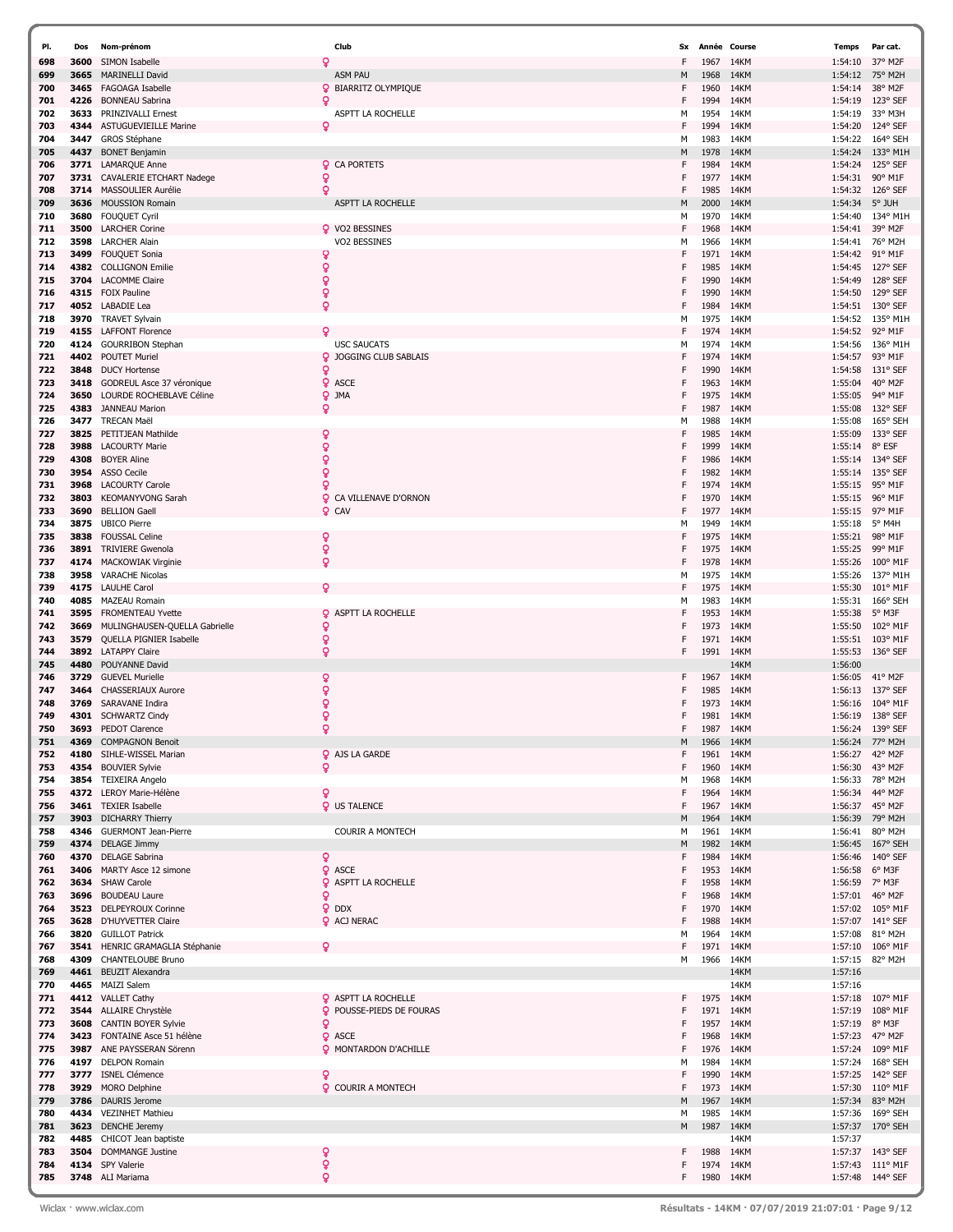| PI.        | Dos          | Nom-prénom                                      | Club                            | Sx     | Année        | Course       | Temps              | Par cat.            |
|------------|--------------|-------------------------------------------------|---------------------------------|--------|--------------|--------------|--------------------|---------------------|
| 698        | 3600         | SIMON Isabelle                                  | Q                               | F      | 1967         | 14KM         | 1:54:10            | 37° M2F             |
| 699        | 3665         | <b>MARINELLI David</b>                          | <b>ASM PAU</b>                  | M      | 1968         | 14KM         | 1:54:12            | 75° M2H             |
| 700        | 3465         | FAGOAGA Isabelle                                | ō<br><b>BIARRITZ OLYMPIQUE</b>  | F      | 1960         | 14KM         | 1:54:14            | 38° M2F             |
| 701        | 4226         | <b>BONNEAU Sabrina</b>                          | Q                               | F      | 1994         | 14KM         | 1:54:19            | 123° SEF            |
| 702        | 3633         | PRINZIVALLI Ernest                              | ASPTT LA ROCHELLE               | м      | 1954         | 14KM         | 1:54:19            | 33° M3H             |
| 703        | 4344         | <b>ASTUGUEVIEILLE Marine</b>                    | ö                               | F      | 1994         | 14KM         | 1:54:20            | 124° SEF            |
| 704        | 3447         | GROS Stéphane                                   |                                 | м      | 1983         | 14KM         | 1:54:22            | 164° SEH            |
| 705        | 4437         | <b>BONET Benjamin</b>                           |                                 | M      | 1978         | 14KM         | 1:54:24            | 133° M1H            |
| 706        | 3771         | <b>LAMARQUE Anne</b>                            | <b>Q</b> CA PORTETS             | F      | 1984         | 14KM         | 1:54:24            | 125° SEF            |
| 707        | 3731         | CAVALERIE ETCHART Nadege                        | ò                               | F      | 1977         | 14KM         | 1:54:31            | 90° M1F             |
| 708        | 3714         | MASSOULIER Aurélie                              | Q                               | F      | 1985         | 14KM         | 1:54:32            | $126^{\circ}$ SEF   |
| 709        | 3636         | <b>MOUSSION Romain</b>                          | ASPTT LA ROCHELLE               | M      | 2000         | 14KM         | 1:54:34            | 5° JUH              |
| 710        | 3680         | FOUQUET Cyril                                   |                                 | м      | 1970         | 14KM         | 1:54:40            | 134° M1H            |
| 711        | 3500         | <b>LARCHER Corine</b>                           | Q VO2 BESSINES                  | F      | 1968         | 14KM         | 1:54:41            | 39° M2F             |
| 712        | 3598         | <b>LARCHER Alain</b>                            | VO2 BESSINES                    | м      | 1966         | 14KM         | 1:54:41            | 76° M2H             |
| 713        | 3499         | <b>FOUQUET Sonia</b>                            | ò                               |        | 1971         | 14KM         | 1:54:42            | 91° M1F             |
| 714        | 4382         | <b>COLLIGNON Emilie</b>                         | ó                               | F      | 1985         | 14KM         | 1:54:45            | 127° SEF            |
| 715        | 3704         | <b>LACOMME Claire</b>                           | $\mathbf{Q}$                    | F      | 1990         | 14KM         | 1:54:49            | 128° SEF            |
| 716        |              | 4315 FOIX Pauline                               | ò                               |        | 1990         | 14KM         | 1:54:50            | 129° SEF            |
| 717        |              | 4052 LABADIE Lea                                | ò                               | F      | 1984         | 14KM         | 1:54:51            | 130° SEF            |
| 718        | 3970         | TRAVET Sylvain                                  |                                 | м      | 1975         | 14KM         | 1:54:52            | 135° M1H            |
| 719        |              | 4155 LAFFONT Florence                           | ó                               | F      | 1974         | 14KM         | 1:54:52            | 92° M1F             |
| 720        | 4124         | <b>GOURRIBON Stephan</b>                        | <b>USC SAUCATS</b>              | м      | 1974         | 14KM         | 1:54:56            | 136° M1H            |
| 721        |              | 4402 POUTET Muriel                              | <b>Q</b> JOGGING CLUB SABLAIS   |        | 1974         | 14KM         | 1:54:57            | 93° M1F             |
| 722        | 3848         | <b>DUCY Hortense</b>                            | ò                               | F      | 1990         | 14KM         | 1:54:58            | $131^{\circ}$ SEF   |
| 723        | 3418         | GODREUL Asce 37 véronique                       | <b>Q</b> ASCE                   |        | 1963         | 14KM         | 1:55:04            | 40° M2F             |
| 724        | 3650         | LOURDE ROCHEBLAVE Céline                        | <b>Q</b> JMA                    |        | 1975         | 14KM         | 1:55:05            | 94° M1F             |
| 725        | 4383         | <b>JANNEAU Marion</b>                           | ò                               | F      | 1987         | 14KM         | 1:55:08            | 132° SEF            |
| 726        | 3477         | <b>TRECAN Maël</b>                              |                                 | M      | 1988         | 14KM         | 1:55:08            | 165° SEH            |
| 727        | 3825         | PETITJEAN Mathilde                              | ò                               | F      | 1985         | 14KM         | 1:55:09            | 133° SEF            |
| 728        | 3988         | <b>LACOURTY Marie</b>                           | ò                               | F      | 1999         | 14KM         | 1:55:14            | 8° ESF              |
| 729        | 4308         | <b>BOYER Aline</b>                              | ò                               |        | 1986         | 14KM         | 1:55:14            | 134° SEF            |
| 730        | 3954         | ASSO Cecile                                     | ò                               | F      | 1982         | 14KM         | 1:55:14            | 135° SEF            |
| 731        | 3968         | <b>LACOURTY Carole</b>                          | Q                               | F      | 1974         | 14KM         | 1:55:15            | 95° M1F             |
| 732        | 3803         | <b>KEOMANYVONG Sarah</b>                        | Q<br>CA VILLENAVE D'ORNON       |        | 1970         | 14KM         | 1:55:15            | 96° M1F             |
| 733        | 3690         | <b>BELLION Gaell</b>                            | $Q$ CAV                         | F      | 1977         | 14KM         | 1:55:15            | 97° M1F             |
| 734        | 3875         | <b>UBICO Pierre</b>                             |                                 | M      | 1949         | 14KM         | 1:55:18            | 5° M4H              |
| 735        | 3838         | <b>FOUSSAL Celine</b>                           | Q                               | F      | 1975         | 14KM         | 1:55:21            | 98° M1F             |
| 736        | 3891         | <b>TRIVIERE Gwenola</b>                         | ò                               | F      | 1975         | 14KM         | 1:55:25            | 99° M1F             |
| 737        | 4174         | <b>MACKOWIAK Virginie</b>                       | ò                               | F      | 1978         | 14KM         | 1:55:26            | 100° M1F            |
| 738        | 3958         | <b>VARACHE Nicolas</b>                          |                                 | M      | 1975         | 14KM         | 1:55:26            | 137° M1H            |
| 739        | 4175         | <b>LAULHE Carol</b>                             | Q                               | F      | 1975         | 14KM         | 1:55:30            | 101° M1F            |
| 740        | 4085         | <b>MAZEAU Romain</b>                            |                                 | м      | 1983         | 14KM         | 1:55:31            | 166° SEH            |
| 741        | 3595         | <b>FROMENTEAU Yvette</b>                        | <b>Q</b> ASPTT LA ROCHELLE      | F      | 1953         | 14KM         | 1:55:38            | 5° M3F              |
| 742        | 3669         | MULINGHAUSEN-QUELLA Gabrielle                   | Q                               | F      | 1973         | 14KM         | 1:55:50            | 102° M1F            |
| 743        | 3579         | QUELLA PIGNIER Isabelle                         | ò                               | F      | 1971         | 14KM         | 1:55:51            | 103° M1F            |
| 744        |              | 3892 LATAPPY Claire                             | ò                               | F      | 1991         | 14KM         | 1:55:53            | $136^\circ$ SEF     |
| 745        | 4480         | POUYANNE David                                  |                                 |        |              | 14KM         | 1:56:00            |                     |
| 746        | 3729         | <b>GUEVEL Murielle</b>                          | ò                               | F.     | 1967         | 14KM         | 1:56:05            | 41° M2F             |
| 747        | 3464         | CHASSERIAUX Aurore                              | Q                               | F      | 1985         | 14KM         | 1:56:13            | 137° SEF            |
| 748        | 3769         | SARAVANE Indira                                 | ò                               |        | 1973         | 14KM         | 1:56:16            | 104° M1F            |
| 749        | 4301         | <b>SCHWARTZ Cindy</b>                           | Q                               | F      | 1981         | 14KM         | 1:56:19            | 138° SEF            |
| 750        | 3693         | <b>PEDOT Clarence</b>                           | ò                               | F      | 1987         | 14KM         | 1:56:24            | $139^{\circ}$ SEF   |
| 751        | 4369         | <b>COMPAGNON Benoit</b>                         |                                 | M      | 1966         | 14KM         | 1:56:24            | 77° M2H             |
| 752        | 4180         | SIHLE-WISSEL Marian                             | <b>Q</b> AJS LA GARDE           | F      | 1961         | 14KM         |                    | 1:56:27 42° M2F     |
| 753        | 4354         | <b>BOUVIER Sylvie</b>                           | Q                               | F      | 1960         | 14KM         | 1:56:30            | 43° M2F             |
| 754        |              | 3854 TEIXEIRA Angelo                            |                                 | м      | 1968         | 14KM         |                    | 1:56:33 78° M2H     |
| 755        |              | 4372 LEROY Marie-Hélène                         | ò                               | F      | 1964         | 14KM         | 1:56:34            | 44° M2F             |
| 756        |              | 3461 TEXIER Isabelle                            | <b>Q</b> US TALENCE             | F      | 1967         | 14KM         |                    | 1:56:37 45° M2F     |
| 757        |              | 3903 DICHARRY Thierry                           |                                 | M      | 1964         | 14KM         |                    | 1:56:39 79° M2H     |
| 758        | 4346         | <b>GUERMONT Jean-Pierre</b>                     | <b>COURIR A MONTECH</b>         | м      | 1961         | 14KM         | 1:56:41            | 80° M2H             |
| 759        |              | 4374 DELAGE Jimmy                               |                                 | M      | 1982         | 14KM         | 1:56:45            | $167^{\circ}$ SEH   |
| 760        |              | 4370 DELAGE Sabrina                             | ò                               | F      | 1984         | 14KM         |                    | 1:56:46 140° SEF    |
| 761        | 3406         | MARTY Asce 12 simone                            | <b>Q</b> ASCE                   | F      | 1953         | 14KM         | 1:56:58            | 6° M3F              |
| 762        |              | 3634 SHAW Carole                                | <b>Q</b> ASPTT LA ROCHELLE      | F      | 1958         | 14KM         | 1:56:59 7° M3F     |                     |
| 763        |              | 3696 BOUDEAU Laure<br>3523 DELPEYROUX Corinne   | Q                               | F      | 1968         | 14KM         | 1:57:01            | 46° M2F             |
| 764        |              |                                                 | <b>Q</b> DDX                    | F      | 1970         | 14KM         |                    | 1:57:02 105° M1F    |
| 765        | 3820         | 3628 D'HUYVETTER Claire                         | <b>Q</b> ACJ NERAC              | F      | 1988         | 14KM<br>14KM |                    | 1:57:07 141° SEF    |
| 766        |              | <b>GUILLOT Patrick</b>                          | Q                               | м      | 1964         |              | 1:57:08            | 81° M2H             |
| 767<br>768 | 3541<br>4309 | HENRIC GRAMAGLIA Stéphanie<br>CHANTELOUBE Bruno |                                 | F<br>м | 1971<br>1966 | 14KM<br>14KM | 1:57:10<br>1:57:15 | 106° M1F<br>82° M2H |
|            |              |                                                 |                                 |        |              | 14KM         |                    |                     |
| 769<br>770 |              | 4461 BEUZIT Alexandra<br>4465 MAIZI Salem       |                                 |        |              | 14KM         | 1:57:16<br>1:57:16 |                     |
| 771        |              | 4412 VALLET Cathy                               | <b>Q</b> ASPTT LA ROCHELLE      | F      | 1975         | 14KM         | 1:57:18            | 107° M1F            |
| 772        |              | 3544 ALLAIRE Chrystèle                          | <b>Q</b> POUSSE-PIEDS DE FOURAS | F      | 1971         | 14KM         | 1:57:19            | 108° M1F            |
| 773        |              | 3608 CANTIN BOYER Sylvie                        | ò                               | F      | 1957         | 14KM         | 1:57:19 8° M3F     |                     |
| 774        | 3423         | FONTAINE Asce 51 hélène                         | <b>Q</b> ASCE                   | F      | 1968         | 14KM         | 1:57:23            | 47° M2F             |
| 775        |              | 3987 ANE PAYSSERAN Sörenn                       | <b>Q</b> MONTARDON D'ACHILLE    | F      | 1976         | 14KM         |                    | 1:57:24 109° M1F    |
| 776        |              | 4197 DELPON Romain                              |                                 | М      | 1984         | 14KM         |                    | 1:57:24 168° SEH    |
| 777        | 3777         | <b>ISNEL Clémence</b>                           | Q                               | F      | 1990         | 14KM         |                    | 1:57:25 142° SEF    |
| 778        | 3929         | <b>MORO Delphine</b>                            | <b>Q</b> COURIR A MONTECH       | F      | 1973         | 14KM         |                    | 1:57:30 110° M1F    |
| 779        |              | 3786 DAURIS Jerome                              |                                 | M      | 1967         | 14KM         | 1:57:34            | 83° M2H             |
| 780        |              | 4434 VEZINHET Mathieu                           |                                 | м      | 1985         | 14KM         | 1:57:36            | 169° SEH            |
| 781        |              | 3623 DENCHE Jeremy                              |                                 | М      | 1987         | 14KM         |                    | 1:57:37 170° SEH    |
| 782        | 4485         | CHICOT Jean baptiste                            |                                 |        |              | 14KM         | 1:57:37            |                     |
| 783        | 3504         | <b>DOMMANGE Justine</b>                         | ò                               | F      | 1988         | 14KM         |                    | 1:57:37 143° SEF    |
| 784        |              | 4134 SPY Valerie                                | ò                               | F      | 1974         | 14KM         |                    | 1:57:43 111° M1F    |
| 785        |              | 3748 ALI Mariama                                | õ                               | F      |              | 1980 14KM    |                    | 1:57:48 144° SEF    |
|            |              |                                                 |                                 |        |              |              |                    |                     |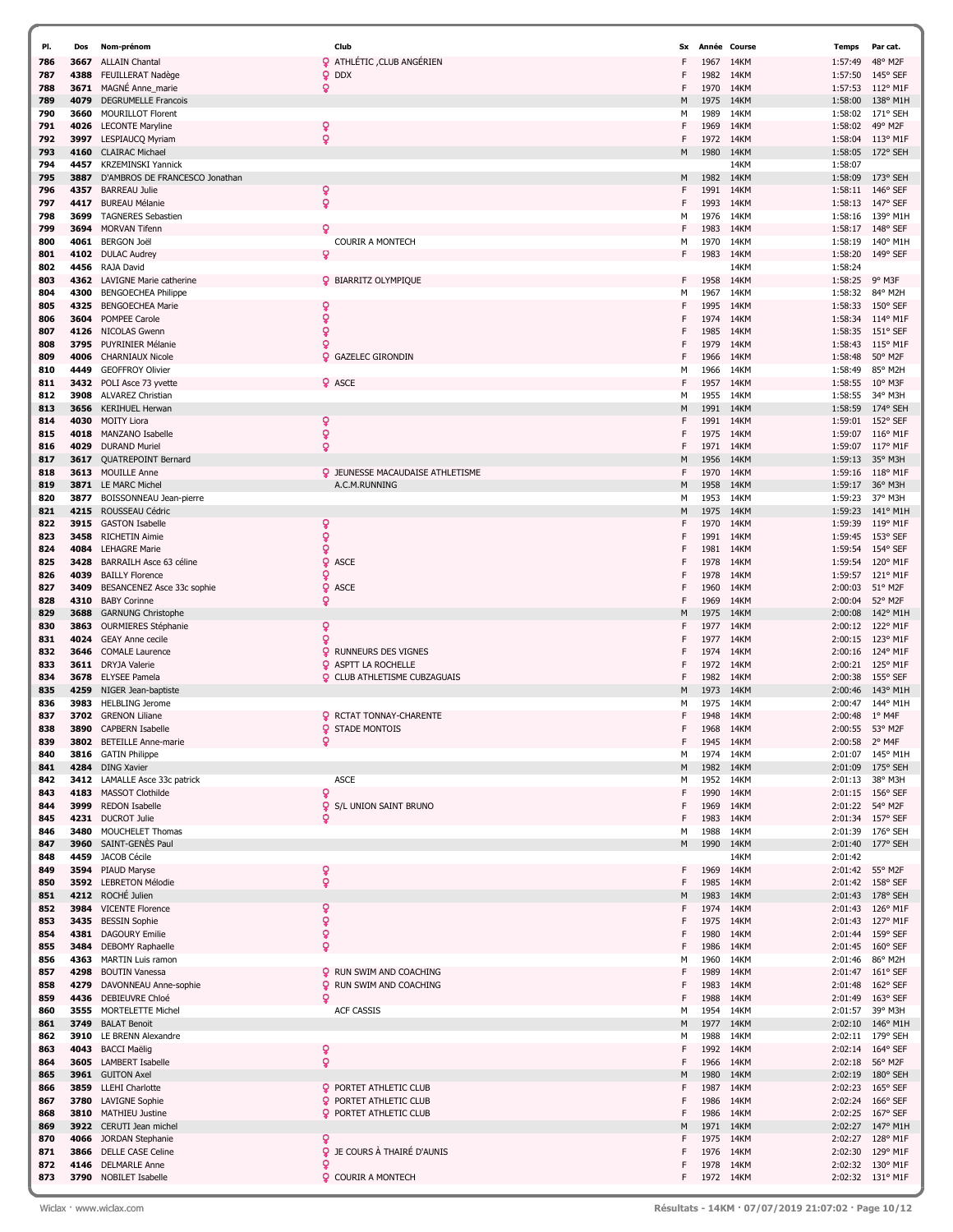| PI.        | Dos          | Nom-prénom                                       | Club                                                     | Sx      | Année Course |              | Temps              | Par cat.                     |
|------------|--------------|--------------------------------------------------|----------------------------------------------------------|---------|--------------|--------------|--------------------|------------------------------|
| 786        | 3667         | <b>ALLAIN Chantal</b>                            | <b>Q</b> ATHLÉTIC , CLUB ANGÉRIEN                        |         | 1967         | 14KM         | 1:57:49            | 48° M2F                      |
| 787        | 4388         | FEUILLERAT Nadège                                | <b>Q</b> DDX                                             | F       | 1982         | 14KM         | 1:57:50            | 145° SEF                     |
| 788        | 3671         | MAGNÉ Anne_marie                                 | ò                                                        | F       | 1970         | 14KM         | 1:57:53            | 112° M1F                     |
| 789        | 4079         | <b>DEGRUMELLE Francois</b>                       |                                                          | M       | 1975         | 14KM         | 1:58:00            | 138° M1H                     |
| 790        | 3660         | <b>MOURILLOT Florent</b>                         |                                                          | М       | 1989         | 14KM         | 1:58:02            | 171° SEH                     |
| 791        | 4026         | <b>LECONTE Maryline</b>                          | ó                                                        | F       | 1969         | 14KM         | 1:58:02            | 49° M2F                      |
| 792        | 3997         | LESPIAUCQ Myriam                                 | ò                                                        | F       | 1972         | 14KM         | 1:58:04            | 113° M1F                     |
| 793        | 4160         | <b>CLAIRAC Michael</b>                           |                                                          | M       | 1980         | 14KM         | 1:58:05            | 172° SEH                     |
| 794        | 4457         | <b>KRZEMINSKI Yannick</b>                        |                                                          |         |              | 14KM         | 1:58:07            |                              |
| 795        | 3887         | D'AMBROS DE FRANCESCO Jonathan                   |                                                          | M       | 1982         | 14KM         | 1:58:09            | 173° SEH                     |
| 796        | 4357         | <b>BARREAU Julie</b>                             | ò                                                        | F       | 1991         | 14KM         | 1:58:11            | 146° SEF                     |
| 797        | 4417         | <b>BUREAU Mélanie</b>                            | ö                                                        | F       | 1993         | 14KM         | 1:58:13            | 147° SEF                     |
| 798        | 3699         | <b>TAGNERES Sebastien</b>                        |                                                          | М       | 1976         | 14KM         | 1:58:16            | 139° M1F                     |
| 799        | 3694         | <b>MORVAN Tifenn</b>                             | Ω                                                        | F       | 1983         | 14KM         | 1:58:17            | 148° SEF                     |
| 800        | 4061         | <b>BERGON Joël</b>                               | <b>COURIR A MONTECH</b>                                  | м       | 1970         | 14KM         | 1:58:19            | 140° M1H                     |
| 801<br>802 | 4102<br>4456 | <b>DULAC Audrey</b><br>RAJA David                | ö                                                        | F       | 1983         | 14KM<br>14KM | 1:58:20<br>1:58:24 | 149° SEF                     |
| 803        | 4362         | LAVIGNE Marie catherine                          | <b>Q</b> BIARRITZ OLYMPIQUE                              | F       | 1958         | 14KM         | 1:58:25            | 9° M3F                       |
| 804        | 4300         | <b>BENGOECHEA Philippe</b>                       |                                                          | м       | 1967         | 14KM         | 1:58:32            | 84° M2H                      |
| 805        | 4325         | <b>BENGOECHEA Marie</b>                          | ¥                                                        | F       | 1995         | 14KM         | 1:58:33            | 150° SEF                     |
| 806        | 3604         | POMPEE Carole                                    | ò                                                        |         | 1974         | 14KM         | 1:58:34            | 114° M1F                     |
| 807        | 4126         | NICOLAS Gwenn                                    | ò                                                        | F       | 1985         | 14KM         | 1:58:35            | $151^{\circ}$ SEF            |
| 808        | 3795         | <b>PUYRINIER Mélanie</b>                         | Q                                                        |         | 1979         | 14KM         | 1:58:43            | $115^{\circ}$ M1F            |
| 809        | 4006         | <b>CHARNIAUX Nicole</b>                          | <b>Q</b> GAZELEC GIRONDIN                                | F       | 1966         | 14KM         | 1:58:48            | 50° M2F                      |
| 810        | 4449         | <b>GEOFFROY Olivier</b>                          |                                                          | М       | 1966         | 14KM         | 1:58:49            | 85° M2H                      |
| 811        | 3432         | POLI Asce 73 yvette                              | <b>Q</b> ASCE                                            | F       | 1957         | 14KM         | 1:58:55            | $10^{\circ}$ M3F             |
| 812        | 3908         | <b>ALVAREZ Christian</b>                         |                                                          | м       | 1955         | 14KM         | 1:58:55            | 34° M3H                      |
| 813        | 3656         | <b>KERIHUEL Herwan</b>                           |                                                          | M       | 1991         | 14KM         | 1:58:59            | 174° SEH                     |
| 814        | 4030         | <b>MOITY Liora</b>                               | ò                                                        | F       | 1991         | 14KM         | 1:59:01            | 152° SEF                     |
| 815        | 4018         | MANZANO Isabelle                                 | Ŷ                                                        | F       | 1975         | 14KM         | 1:59:07            | 116° M1F                     |
| 816        | 4029         | <b>DURAND Muriel</b>                             | ó                                                        | F       | 1971         | 14KM         | 1:59:07            | 117° M1F                     |
| 817        | 3617         | <b>QUATREPOINT Bernard</b>                       |                                                          | M       | 1956         | 14KM         | 1:59:13            | 35° M3H                      |
| 818        | 3613         | <b>MOUILLE Anne</b>                              | <b>Q</b> JEUNESSE MACAUDAISE ATHLETISME                  | F       | 1970         | 14KM         | 1:59:16            | $118^{\circ}$ M1F            |
| 819        |              | 3871 LE MARC Michel                              | A.C.M.RUNNING                                            | M       | 1958         | 14KM         | 1:59:17            | 36° M3H                      |
| 820        | 3877         | BOISSONNEAU Jean-pierre                          |                                                          | м       | 1953         | 14KM         | 1:59:23            | 37° M3H                      |
| 821<br>822 | 4215<br>3915 | ROUSSEAU Cédric<br><b>GASTON Isabelle</b>        | ò                                                        | M<br>F  | 1975<br>1970 | 14KM<br>14KM | 1:59:23<br>1:59:39 | 141° M1H<br>119° M1F         |
| 823        | 3458         | <b>RICHETIN Aimie</b>                            | ò                                                        | F       | 1991         | 14KM         | 1:59:45            | 153° SEF                     |
| 824        | 4084         | <b>LEHAGRE Marie</b>                             | Q                                                        |         | 1981         | 14KM         | 1:59:54            | 154° SEF                     |
| 825        | 3428         | BARRAILH Asce 63 céline                          | Q<br><b>ASCE</b>                                         | F       | 1978         | 14KM         | 1:59:54            | 120° M1F                     |
| 826        | 4039         | <b>BAILLY Florence</b>                           | Q                                                        | F       | 1978         | 14KM         | 1:59:57            | 121° M1F                     |
| 827        | 3409         | BESANCENEZ Asce 33c sophie                       | Q<br><b>ASCE</b>                                         | F       | 1960         | 14KM         | 2:00:03            | 51° M2F                      |
| 828        | 4310         | <b>BABY Corinne</b>                              | ò                                                        | F       | 1969         | 14KM         | 2:00:04            | 52° M2F                      |
| 829        | 3688         | <b>GARNUNG Christophe</b>                        |                                                          | М       | 1975         | 14KM         | 2:00:08            | 142° M1H                     |
| 830        | 3863         | OURMIERES Stéphanie                              | ¥                                                        | F       | 1977         | 14KM         | 2:00:12            | 122° M1F                     |
| 831        | 4024         | <b>GEAY Anne cecile</b>                          | ó                                                        | F       | 1977         | 14KM         | 2:00:15            | 123° M1F                     |
| 832        | 3646         | <b>COMALE Laurence</b>                           | Q<br><b>RUNNEURS DES VIGNES</b>                          | F       | 1974         | 14KM         | 2:00:16            | 124° M1F                     |
| 833        | 3611         | DRYJA Valerie                                    | <b>Q</b> ASPTT LA ROCHELLE                               | F       | 1972         | 14KM         | 2:00:21            | 125° M1F                     |
| 834        | 3678         | <b>ELYSEE Pamela</b>                             | <b>Q</b> CLUB ATHLETISME CUBZAGUAIS                      | F       | 1982         | 14KM         | 2:00:38            | 155° SEF                     |
| 835        | 4259         | NIGER Jean-baptiste                              |                                                          | M       | 1973         | 14KM         | 2:00:46            | 143° M1H                     |
| 836        | 3983         | <b>HELBLING Jerome</b>                           |                                                          | м       | 1975         | 14KM         | 2:00:47            | 144° M1H                     |
| 837<br>838 | 3702<br>3890 | <b>GRENON Liliane</b><br><b>CAPBERN Isabelle</b> | <b>Q</b> RCTAT TONNAY-CHARENTE<br><b>Q</b> STADE MONTOIS | F<br>F  | 1948<br>1968 | 14KM<br>14KM | 2:00:48<br>2:00:55 | $1^{\circ}$ M4F<br>53° M2F   |
| 839        |              | 3802 BETEILLE Anne-marie                         | ò                                                        | F       | 1945         | 14KM         | 2:00:58            | 2° M4F                       |
| 840        | 3816         | <b>GATIN Philippe</b>                            |                                                          | м       | 1974         | 14KM         | 2:01:07            | 145° M1H                     |
| 841        | 4284         | <b>DING Xavier</b>                               |                                                          | M       | 1982         | 14KM         | 2:01:09            | $175^{\circ}$ SEH            |
| 842        |              | 3412 LAMALLE Asce 33c patrick                    | <b>ASCE</b>                                              | М       | 1952         | 14KM         | 2:01:13            | 38° M3H                      |
| 843        |              | 4183 MASSOT Clothilde                            | ó                                                        | F       | 1990         | 14KM         |                    | 2:01:15 156° SEF             |
| 844        |              | 3999 REDON Isabelle                              | ö<br>S/L UNION SAINT BRUNO                               | F       | 1969         | 14KM         |                    | 2:01:22 54° M2F              |
| 845        |              | 4231 DUCROT Julie                                | Q                                                        | F       | 1983         | 14KM         | 2:01:34            | 157° SEF                     |
| 846        | 3480         | MOUCHELET Thomas                                 |                                                          | М       | 1988         | 14KM         | 2:01:39            | $176^{\circ}$ SEH            |
| 847        | 3960         | SAINT-GENES Paul                                 |                                                          | M       | 1990         | 14KM         | 2:01:40            | 177° SEH                     |
| 848        |              | 4459 JACOB Cécile                                |                                                          |         |              | 14KM         | 2:01:42            |                              |
| 849        |              | 3594 PIAUD Maryse<br>3592 LEBRETON Mélodie       | ò<br>ò                                                   | F.<br>F | 1969<br>1985 | 14KM<br>14KM | 2:01:42            | 55° M2F<br>$158^{\circ}$ SEF |
| 850        |              | 4212 ROCHÉ Julien                                |                                                          | M       | 1983         | 14KM         | 2:01:42            | 2:01:43 178° SEH             |
| 851        |              | 3984 VICENTE Florence                            |                                                          | F       | 1974         | 14KM         |                    | 2:01:43 126° M1F             |
| 852<br>853 | 3435         | <b>BESSIN Sophie</b>                             | ò<br>ò                                                   | F       | 1975         | 14KM         | 2:01:43            | 127° M1F                     |
| 854        |              | 4381 DAGOURY Emilie                              | ò                                                        | F       | 1980         | 14KM         |                    | 2:01:44 159° SEF             |
| 855        |              | 3484 DEBOMY Raphaelle                            | ð                                                        | F       | 1986         | 14KM         |                    | 2:01:45 160° SEF             |
| 856        |              | 4363 MARTIN Luis ramon                           |                                                          | М       | 1960         | 14KM         | 2:01:46            | 86° M2H                      |
| 857        | 4298         | <b>BOUTIN Vanessa</b>                            | <b>Q</b> RUN SWIM AND COACHING                           | F       | 1989         | 14KM         |                    | 2:01:47 161° SEF             |
| 858        | 4279         | DAVONNEAU Anne-sophie                            | <b>Q</b> RUN SWIM AND COACHING                           | F       | 1983         | 14KM         | 2:01:48            | 162° SEF                     |
| 859        |              | 4436 DEBIEUVRE Chloé                             | Q                                                        | F       | 1988         | 14KM         | 2:01:49            | $163^{\circ}$ SEF            |
| 860        |              | 3555 MORTELETTE Michel                           | <b>ACF CASSIS</b>                                        | м       | 1954         | 14KM         |                    | 2:01:57 39° M3H              |
| 861        | 3749         | <b>BALAT Benoit</b>                              |                                                          | M       | 1977         | 14KM         | 2:02:10            | 146° M1H                     |
| 862        |              | 3910 LE BRENN Alexandre                          |                                                          | м       | 1988         | 14KM         |                    | 2:02:11 179° SEH             |
| 863        |              | 4043 BACCI Maëlig                                | ò                                                        | F       | 1992         | 14KM         |                    | 2:02:14 164° SEF             |
| 864        |              | 3605 LAMBERT Isabelle                            | ò                                                        | F       | 1966         | 14KM         | 2:02:18            | 56° M2F                      |
| 865        |              | 3961 GUITON Axel                                 |                                                          | M       | 1980         | 14KM         | 2:02:19            | 180° SEH                     |
| 866        |              | 3859 LLEHI Charlotte                             | <b>Q</b> PORTET ATHLETIC CLUB                            | F       | 1987         | 14KM         | 2:02:23            | $165^{\circ}$ SEF            |
| 867        | 3780         | <b>LAVIGNE Sophie</b>                            | <b>Q</b> PORTET ATHLETIC CLUB                            | F<br>F  | 1986         | 14KM         | 2:02:24            | 166° SEF                     |
| 868<br>869 | 3922         | 3810 MATHIEU Justine<br>CERUTI Jean michel       | <b>Q</b> PORTET ATHLETIC CLUB                            | м       | 1986<br>1971 | 14KM<br>14KM | 2:02:27            | 2:02:25 167° SEF<br>147° M1H |
| 870        | 4066         | JORDAN Stephanie                                 | Q                                                        | F       | 1975         | 14KM         |                    | 2:02:27 128° M1F             |
| 871        | 3866         | <b>DELLE CASE Celine</b>                         | <b>Q</b> JE COURS À THAIRÉ D'AUNIS                       | F       | 1976         | 14KM         | 2:02:30            | 129° M1F                     |
| 872        | 4146         | <b>DELMARLE Anne</b>                             | Q                                                        | F       | 1978         | 14KM         | 2:02:32            | 130° M1F                     |
| 873        |              | 3790 NOBILET Isabelle                            | <b>Q</b> COURIR A MONTECH                                | F       | 1972 14KM    |              |                    | 2:02:32 131° M1F             |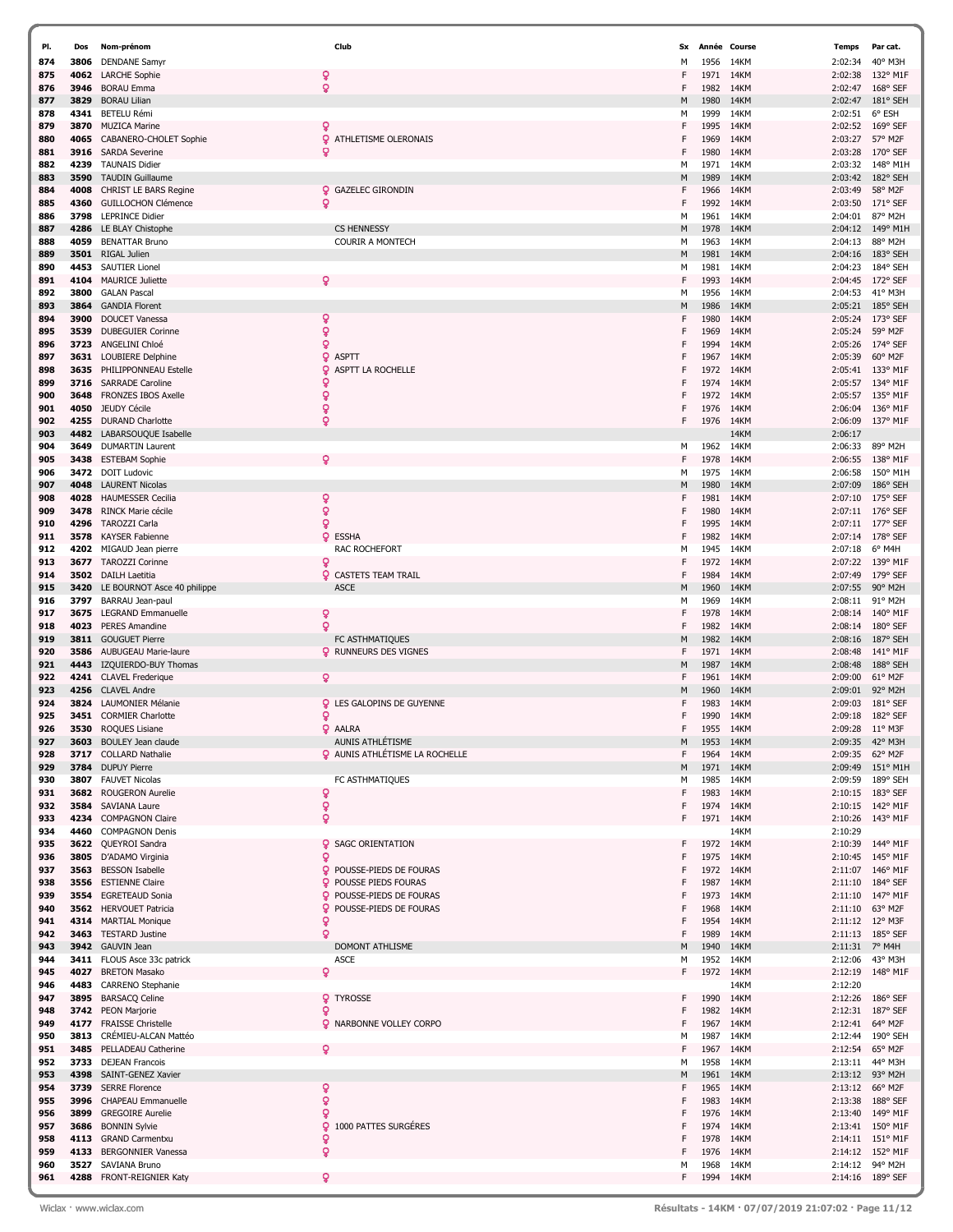| PI.        | Dos          | Nom-prénom                                        | Club                                  | Sx     | Année Course |              | Temps              | Par cat.               |
|------------|--------------|---------------------------------------------------|---------------------------------------|--------|--------------|--------------|--------------------|------------------------|
| 874        | 3806         | <b>DENDANE Samyr</b>                              |                                       | М      | 1956         | 14KM         | 2:02:34            | 40° M3H                |
| 875        | 4062         | <b>LARCHE Sophie</b>                              | ò                                     | F      | 1971         | 14KM         | 2:02:38            | 132° M1F               |
| 876        | 3946         | <b>BORAU Emma</b>                                 | ò                                     | F      | 1982         | 14KM         | 2:02:47            | 168° SEF               |
| 877        | 3829         | <b>BORAU Lilian</b>                               |                                       | M      | 1980         | 14KM         | 2:02:47            | 181° SEH               |
| 878        | 4341         | <b>BETELU Rémi</b>                                |                                       | М      | 1999         | 14KM         | 2:02:51            | 6° ESH                 |
| 879        | 3870         | <b>MUZICA Marine</b>                              |                                       | F      | 1995         | 14KM         | 2:02:52            | 169° SEF               |
| 880        | 4065         | CABANERO-CHOLET Sophie                            | Q<br>ATHLETISME OLERONAIS             | F      | 1969         | 14KM         | 2:03:27            | 57° M2F                |
| 881        | 3916         | <b>SARDA Severine</b>                             | ó                                     | F      | 1980         | 14KM         | 2:03:28            | 170° SEF               |
| 882        | 4239         | <b>TAUNAIS Didier</b>                             |                                       | М      | 1971         | 14KM         | 2:03:32            | 148° M1H               |
| 883        | 3590         | <b>TAUDIN Guillaume</b>                           |                                       | M      | 1989         | 14KM         | 2:03:42            | 182° SEH               |
| 884        | 4008         | CHRIST LE BARS Regine                             | <b>Q</b> GAZELEC GIRONDIN             | F      | 1966         | 14KM         | 2:03:49            | 58° M2F                |
| 885        | 4360         | <b>GUILLOCHON Clémence</b>                        | ó                                     | F      | 1992         | 14KM         | 2:03:50            | 171° SEF               |
| 886        | 3798         | <b>LEPRINCE Didier</b>                            | <b>CS HENNESSY</b>                    | м      | 1961         | 14KM         | 2:04:01            | 87° M2H                |
| 887        | 4286         | LE BLAY Chistophe<br><b>BENATTAR Bruno</b>        | <b>COURIR A MONTECH</b>               | M      | 1978         | 14KM<br>14KM | 2:04:12            | 149° M1H<br>88° M2H    |
| 888<br>889 | 4059<br>3501 | RIGAL Julien                                      |                                       | м<br>M | 1963<br>1981 | 14KM         | 2:04:13<br>2:04:16 | 183° SEH               |
| 890        | 4453         | <b>SAUTIER Lionel</b>                             |                                       | м      | 1981         | 14KM         | 2:04:23            | 184° SEH               |
| 891        | 4104         | <b>MAURICE Juliette</b>                           |                                       | F      | 1993         | 14KM         | 2:04:45            | 172° SEF               |
| 892        | 3800         | <b>GALAN Pascal</b>                               |                                       | м      | 1956         | 14KM         | 2:04:53            | 41° M3H                |
| 893        | 3864         | <b>GANDIA Florent</b>                             |                                       | M      | 1986         | 14KM         | 2:05:21            | 185° SEH               |
| 894        | 3900         | <b>DOUCET Vanessa</b>                             | ò                                     | F      | 1980         | 14KM         | 2:05:24            | 173° SEF               |
| 895        | 3539         | <b>DUBEGUIER Corinne</b>                          | ò                                     | F      | 1969         | 14KM         | 2:05:24            | 59° M2F                |
| 896        | 3723         | ANGELINI Chloé                                    | Q                                     | F      | 1994         | 14KM         | 2:05:26            | 174° SEF               |
| 897        | 3631         | LOUBIERE Delphine                                 | <b>Q</b> ASPTT                        | F      | 1967         | 14KM         | 2:05:39            | 60° M2F                |
| 898        | 3635         | PHILIPPONNEAU Estelle                             | Q<br>ASPTT LA ROCHELLE                | F      | 1972         | 14KM         | 2:05:41            | 133° M1F               |
| 899        | 3716         | <b>SARRADE Caroline</b>                           |                                       | F      | 1974         | 14KM         | 2:05:57            | 134° M1F               |
| 900        | 3648         | FRONZES IBOS Axelle                               | ó                                     | F      | 1972         | 14KM         | 2:05:57            | 135° M1F               |
| 901        | 4050         | JEUDY Cécile                                      | ó                                     | F      | 1976         | 14KM         | 2:06:04            | 136° M1F               |
| 902        | 4255         | <b>DURAND Charlotte</b>                           | Q                                     | F      | 1976         | 14KM         | 2:06:09            | 137° M1F               |
| 903        | 4482         | LABARSOUQUE Isabelle                              |                                       |        |              | 14KM         | 2:06:17            |                        |
| 904        | 3649         | <b>DUMARTIN Laurent</b>                           |                                       | м      | 1962         | 14KM         | 2:06:33            | 89° M2H                |
| 905        | 3438         | <b>ESTEBAM Sophie</b>                             | ٥                                     | F      | 1978         | 14KM         | 2:06:55            | 138° M1F               |
| 906        | 3472         | <b>DOIT Ludovic</b>                               |                                       | M      | 1975         | 14KM         | 2:06:58            | 150° M1H               |
| 907        | 4048         | <b>LAURENT Nicolas</b>                            |                                       | M      | 1980         | 14KM         | 2:07:09            | 186° SEH               |
| 908        | 4028         | <b>HAUMESSER Cecilia</b>                          | ó                                     | F      | 1981         | 14KM         | 2:07:10            | $175^{\circ}$ SEF      |
| 909        | 3478         | RINCK Marie cécile<br><b>TAROZZI Carla</b>        | ò<br>ò                                | F<br>F | 1980<br>1995 | 14KM<br>14KM | 2:07:11<br>2:07:11 | $176°$ SEF<br>177° SEF |
| 910<br>911 | 4296<br>3578 | KAYSER Fabienne                                   | Q<br><b>ESSHA</b>                     | F      | 1982         | 14KM         | 2:07:14            | $178°$ SEF             |
| 912        | 4202         | MIGAUD Jean pierre                                | RAC ROCHEFORT                         | м      | 1945         | 14KM         | 2:07:18            | 6° M4H                 |
| 913        | 3677         | <b>TAROZZI Corinne</b>                            | Q                                     | F      | 1972         | 14KM         | 2:07:22            | 139° M1F               |
| 914        | 3502         | DAILH Laetitia                                    | <b>Q</b> CASTETS TEAM TRAIL           | F      | 1984         | 14KM         | 2:07:49            | 179° SEF               |
| 915        | 3420         | LE BOURNOT Asce 40 philippe                       | <b>ASCE</b>                           | M      | 1960         | 14KM         | 2:07:55            | 90° M2H                |
| 916        | 3797         | BARRAU Jean-paul                                  |                                       | М      | 1969         | 14KM         | 2:08:11            | 91° M2H                |
| 917        | 3675         | <b>LEGRAND Emmanuelle</b>                         | ó                                     | F      | 1978         | 14KM         | 2:08:14            | $140^{\circ}$ M1F      |
| 918        | 4023         | <b>PERES Amandine</b>                             | ö                                     | F      | 1982         | 14KM         | 2:08:14            | 180° SEF               |
| 919        | 3811         | <b>GOUGUET Pierre</b>                             | FC ASTHMATIQUES                       | M      | 1982         | 14KM         | 2:08:16            | 187° SEH               |
| 920        | 3586         | AUBUGEAU Marie-laure                              | <b>Q</b> RUNNEURS DES VIGNES          | F      | 1971         | 14KM         | 2:08:48            | 141° M1F               |
| 921        | 4443         | IZQUIERDO-BUY Thomas                              |                                       | M      | 1987         | 14KM         | 2:08:48            | 188° SEH               |
| 922        | 4241         | <b>CLAVEL Frederique</b>                          | ò                                     | F      | 1961         | 14KM         | 2:09:00            | 61° M2F                |
| 923        | 4256         | <b>CLAVEL Andre</b>                               |                                       | м      | 1960         | 14KM         | 2:09:01            | 92° M2H                |
| 924        | 3824         | LAUMONIER Mélanie                                 | <b>Q</b> LES GALOPINS DE GUYENNE      | F      | 1983         | 14KM         | 2:09:03            | 181° SEF               |
| 925        |              | 3451 CORMIER Charlotte                            | Q                                     | F      | 1990         | 14KM         | 2:09:18            | 182° SEF               |
| 926        |              | 3530 ROQUES Lisiane                               | <b>Q</b> AALRA                        | F      | 1955         | 14KM         | 2:09:28            | $11^{\circ}$ M3F       |
| 927        | 3603         | <b>BOULEY Jean claude</b>                         | AUNIS ATHLÉTISME                      | M      | 1953         | 14KM         | 2:09:35            | 42° M3H<br>62° M2F     |
| 928<br>929 | 3784         | 3717 COLLARD Nathalie<br><b>DUPUY Pierre</b>      | <b>Q</b> AUNIS ATHLÉTISME LA ROCHELLE | F<br>M | 1964<br>1971 | 14KM<br>14KM | 2:09:35<br>2:09:49 | 151° M1H               |
| 930        | 3807         | <b>FAUVET Nicolas</b>                             | FC ASTHMATIQUES                       | М      | 1985         | 14KM         | 2:09:59            | 189° SEH               |
| 931        | 3682         | <b>ROUGERON Aurelie</b>                           | ó                                     | F      | 1983         | 14KM         | 2:10:15            | 183° SEF               |
| 932        | 3584         | SAVIANA Laure                                     | ò                                     | F      | 1974         | 14KM         | 2:10:15            | 142° M1F               |
| 933        |              | 4234 COMPAGNON Claire                             | ò                                     | F      | 1971         | 14KM         | 2:10:26            | 143° M1F               |
| 934        | 4460         | <b>COMPAGNON Denis</b>                            |                                       |        |              | 14KM         | 2:10:29            |                        |
| 935        |              | 3622 QUEYROI Sandra                               | <b>Q</b> SAGC ORIENTATION             | F      | 1972 14KM    |              |                    | 2:10:39 144° M1F       |
| 936        | 3805         | D'ADAMO Virginia                                  | ò                                     | F      | 1975         | 14KM         | 2:10:45            | 145° M1F               |
| 937        |              | 3563 BESSON Isabelle                              | POUSSE-PIEDS DE FOURAS                | F      | 1972         | 14KM         | 2:11:07            | $146^{\circ}$ M1F      |
| 938        |              | 3556 ESTIENNE Claire                              | <b>Q</b> POUSSE PIEDS FOURAS          | F      | 1987         | 14KM         | 2:11:10            | 184° SEF               |
| 939        | 3554         | <b>EGRETEAUD Sonia</b>                            | POUSSE-PIEDS DE FOURAS                | F      | 1973         | 14KM         | 2:11:10            | 147° M1F               |
| 940        |              | 3562 HERVOUET Patricia                            | <b>Q</b> POUSSE-PIEDS DE FOURAS       | F      | 1968         | 14KM         | 2:11:10            | 63° M2F                |
| 941        |              | 4314 MARTIAL Monique                              | ó                                     | F      | 1954         | 14KM         |                    | 2:11:12 12° M3F        |
| 942        |              | 3463 TESTARD Justine                              | ò                                     | F      | 1989         | 14KM         | 2:11:13            | 185° SEF               |
| 943        |              | 3942 GAUVIN Jean                                  | <b>DOMONT ATHLISME</b>                | M      | 1940         | 14KM         | 2:11:31            | 7° M4H                 |
| 944        |              | 3411 FLOUS Asce 33c patrick                       | <b>ASCE</b>                           | М      | 1952         | 14KM         | 2:12:06            | 43° M3H                |
| 945        | 4027         | <b>BRETON Masako</b>                              | ò                                     | F      | 1972         | 14KM         | 2:12:19            | 148° M1F               |
| 946<br>947 | 4483<br>3895 | <b>CARRENO</b> Stephanie<br><b>BARSACQ Celine</b> | <b>Q</b> TYROSSE                      | F      | 1990         | 14KM<br>14KM | 2:12:20<br>2:12:26 |                        |
|            |              |                                                   | Q                                     | F      |              |              |                    | $186°$ SEF             |
| 948<br>949 | 4177         | 3742 PEON Marjorie<br><b>FRAISSE Christelle</b>   | <b>Q</b> NARBONNE VOLLEY CORPO        | F      | 1982<br>1967 | 14KM<br>14KM | 2:12:31<br>2:12:41 | 187° SEF<br>64° M2F    |
| 950        | 3813         | CRÉMIEU-ALCAN Mattéo                              |                                       | М      | 1987         | 14KM         | 2:12:44            | 190° SEH               |
| 951        | 3485         | PELLADEAU Catherine                               |                                       | F      | 1967         | 14KM         | 2:12:54            | 65° M2F                |
| 952        | 3733         | <b>DEJEAN Francois</b>                            |                                       | М      | 1958         | 14KM         | 2:13:11            | 44° M3H                |
| 953        | 4398         | SAINT-GENEZ Xavier                                |                                       | M      | 1961         | 14KM         | 2:13:12            | 93° M2H                |
| 954        | 3739         | <b>SERRE Florence</b>                             | Q                                     | F      | 1965         | 14KM         | 2:13:12            | 66° M2F                |
| 955        | 3996         | CHAPEAU Emmanuelle                                | ò                                     | F      | 1983         | 14KM         | 2:13:38            | 188° SEF               |
| 956        | 3899         | <b>GREGOIRE Aurelie</b>                           | Q                                     | F      | 1976         | 14KM         | 2:13:40            | 149° M1F               |
| 957        | 3686         | <b>BONNIN Sylvie</b>                              | 9 1000 PATTES SURGÉRES                | F      | 1974         | 14KM         | 2:13:41            | 150° M1F               |
| 958        |              | 4113 GRAND Carmentxu                              | Q                                     | F      | 1978         | 14KM         |                    | 2:14:11 151° M1F       |
| 959        | 4133         | <b>BERGONNIER Vanessa</b>                         | Q                                     | F      | 1976         | 14KM         | 2:14:12            | 152° M1F               |
| 960        | 3527         | SAVIANA Bruno                                     |                                       | М      | 1968         | 14KM         | 2:14:12            | 94° M2H                |
| 961        |              | 4288 FRONT-REIGNIER Katy                          | ò                                     | F      | 1994         | 14KM         |                    | 2:14:16 189° SEF       |